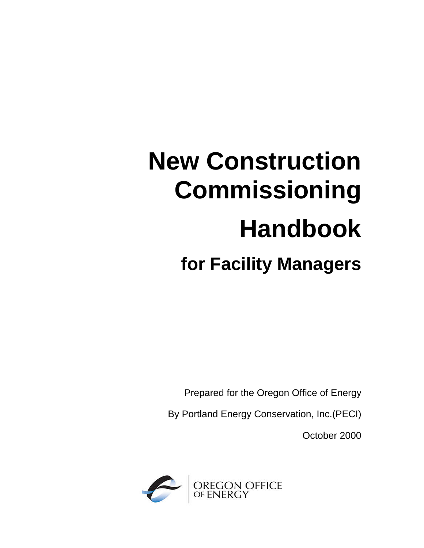# **New Construction Commissioning Handbook for Facility Managers**

Prepared for the Oregon Office of Energy

By Portland Energy Conservation, Inc.(PECI)

October 2000

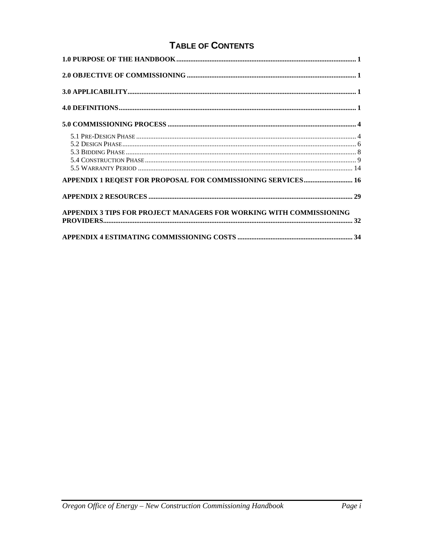# TABLE OF CONTENTS

| APPENDIX 1 REQEST FOR PROPOSAL FOR COMMISSIONING SERVICES 16        |  |
|---------------------------------------------------------------------|--|
|                                                                     |  |
| APPENDIX 3 TIPS FOR PROJECT MANAGERS FOR WORKING WITH COMMISSIONING |  |
|                                                                     |  |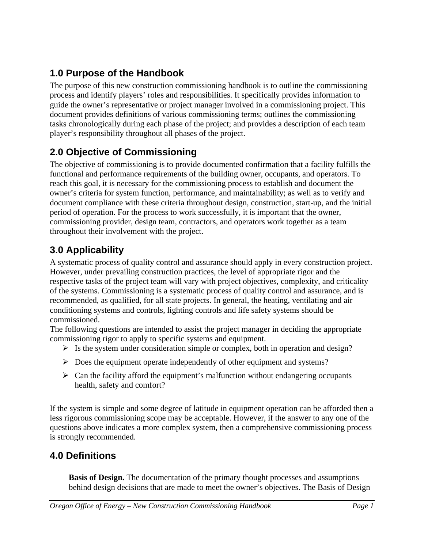# **1.0 Purpose of the Handbook**

The purpose of this new construction commissioning handbook is to outline the commissioning process and identify players' roles and responsibilities. It specifically provides information to guide the owner's representative or project manager involved in a commissioning project. This document provides definitions of various commissioning terms; outlines the commissioning tasks chronologically during each phase of the project; and provides a description of each team player's responsibility throughout all phases of the project.

# **2.0 Objective of Commissioning**

The objective of commissioning is to provide documented confirmation that a facility fulfills the functional and performance requirements of the building owner, occupants, and operators. To reach this goal, it is necessary for the commissioning process to establish and document the owner's criteria for system function, performance, and maintainability; as well as to verify and document compliance with these criteria throughout design, construction, start-up, and the initial period of operation. For the process to work successfully, it is important that the owner, commissioning provider, design team, contractors, and operators work together as a team throughout their involvement with the project.

# **3.0 Applicability**

A systematic process of quality control and assurance should apply in every construction project. However, under prevailing construction practices, the level of appropriate rigor and the respective tasks of the project team will vary with project objectives, complexity, and criticality of the systems. Commissioning is a systematic process of quality control and assurance, and is recommended, as qualified, for all state projects. In general, the heating, ventilating and air conditioning systems and controls, lighting controls and life safety systems should be commissioned.

The following questions are intended to assist the project manager in deciding the appropriate commissioning rigor to apply to specific systems and equipment.

- $\triangleright$  Is the system under consideration simple or complex, both in operation and design?
- $\triangleright$  Does the equipment operate independently of other equipment and systems?
- $\triangleright$  Can the facility afford the equipment's malfunction without endangering occupants health, safety and comfort?

If the system is simple and some degree of latitude in equipment operation can be afforded then a less rigorous commissioning scope may be acceptable. However, if the answer to any one of the questions above indicates a more complex system, then a comprehensive commissioning process is strongly recommended.

# **4.0 Definitions**

**Basis of Design.** The documentation of the primary thought processes and assumptions behind design decisions that are made to meet the owner's objectives. The Basis of Design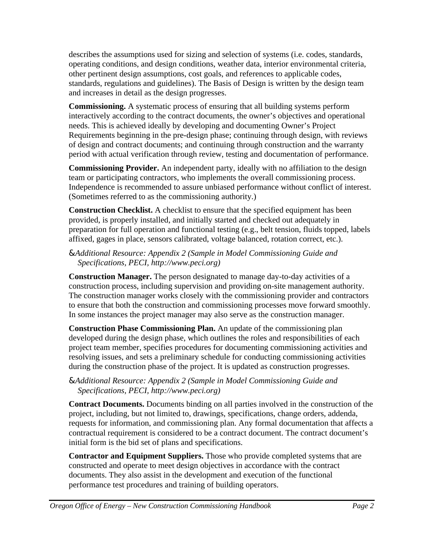describes the assumptions used for sizing and selection of systems (i.e. codes, standards, operating conditions, and design conditions, weather data, interior environmental criteria, other pertinent design assumptions, cost goals, and references to applicable codes, standards, regulations and guidelines). The Basis of Design is written by the design team and increases in detail as the design progresses.

**Commissioning.** A systematic process of ensuring that all building systems perform interactively according to the contract documents, the owner's objectives and operational needs. This is achieved ideally by developing and documenting Owner's Project Requirements beginning in the pre-design phase; continuing through design, with reviews of design and contract documents; and continuing through construction and the warranty period with actual verification through review, testing and documentation of performance.

**Commissioning Provider.** An independent party, ideally with no affiliation to the design team or participating contractors, who implements the overall commissioning process. Independence is recommended to assure unbiased performance without conflict of interest. (Sometimes referred to as the commissioning authority.)

**Construction Checklist.** A checklist to ensure that the specified equipment has been provided, is properly installed, and initially started and checked out adequately in preparation for full operation and functional testing (e.g., belt tension, fluids topped, labels affixed, gages in place, sensors calibrated, voltage balanced, rotation correct, etc.).

#### &*Additional Resource: Appendix 2 (Sample in Model Commissioning Guide and Specifications, PECI, http://www.peci.org)*

**Construction Manager.** The person designated to manage day-to-day activities of a construction process, including supervision and providing on-site management authority. The construction manager works closely with the commissioning provider and contractors to ensure that both the construction and commissioning processes move forward smoothly. In some instances the project manager may also serve as the construction manager.

**Construction Phase Commissioning Plan.** An update of the commissioning plan developed during the design phase, which outlines the roles and responsibilities of each project team member, specifies procedures for documenting commissioning activities and resolving issues, and sets a preliminary schedule for conducting commissioning activities during the construction phase of the project. It is updated as construction progresses.

#### &*Additional Resource: Appendix 2 (Sample in Model Commissioning Guide and Specifications, PECI, http://www.peci.org)*

**Contract Documents.** Documents binding on all parties involved in the construction of the project, including, but not limited to, drawings, specifications, change orders, addenda, requests for information, and commissioning plan. Any formal documentation that affects a contractual requirement is considered to be a contract document. The contract document's initial form is the bid set of plans and specifications.

**Contractor and Equipment Suppliers.** Those who provide completed systems that are constructed and operate to meet design objectives in accordance with the contract documents. They also assist in the development and execution of the functional performance test procedures and training of building operators.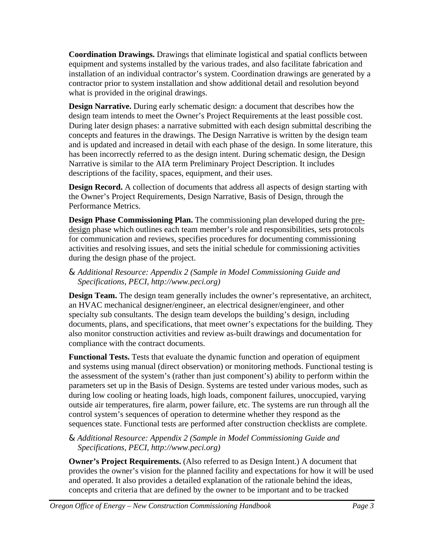**Coordination Drawings.** Drawings that eliminate logistical and spatial conflicts between equipment and systems installed by the various trades, and also facilitate fabrication and installation of an individual contractor's system. Coordination drawings are generated by a contractor prior to system installation and show additional detail and resolution beyond what is provided in the original drawings.

**Design Narrative.** During early schematic design: a document that describes how the design team intends to meet the Owner's Project Requirements at the least possible cost. During later design phases: a narrative submitted with each design submittal describing the concepts and features in the drawings. The Design Narrative is written by the design team and is updated and increased in detail with each phase of the design. In some literature, this has been incorrectly referred to as the design intent. During schematic design, the Design Narrative is similar to the AIA term Preliminary Project Description. It includes descriptions of the facility, spaces, equipment, and their uses.

**Design Record.** A collection of documents that address all aspects of design starting with the Owner's Project Requirements, Design Narrative, Basis of Design, through the Performance Metrics.

**Design Phase Commissioning Plan.** The commissioning plan developed during the predesign phase which outlines each team member's role and responsibilities, sets protocols for communication and reviews, specifies procedures for documenting commissioning activities and resolving issues, and sets the initial schedule for commissioning activities during the design phase of the project.

#### & *Additional Resource: Appendix 2 (Sample in Model Commissioning Guide and Specifications, PECI, http://www.peci.org)*

**Design Team.** The design team generally includes the owner's representative, an architect, an HVAC mechanical designer/engineer, an electrical designer/engineer, and other specialty sub consultants. The design team develops the building's design, including documents, plans, and specifications, that meet owner's expectations for the building. They also monitor construction activities and review as-built drawings and documentation for compliance with the contract documents.

**Functional Tests.** Tests that evaluate the dynamic function and operation of equipment and systems using manual (direct observation) or monitoring methods. Functional testing is the assessment of the system's (rather than just component's) ability to perform within the parameters set up in the Basis of Design. Systems are tested under various modes, such as during low cooling or heating loads, high loads, component failures, unoccupied, varying outside air temperatures, fire alarm, power failure, etc. The systems are run through all the control system's sequences of operation to determine whether they respond as the sequences state. Functional tests are performed after construction checklists are complete.

## & *Additional Resource: Appendix 2 (Sample in Model Commissioning Guide and Specifications, PECI, http://www.peci.org)*

**Owner's Project Requirements.** (Also referred to as Design Intent.) A document that provides the owner's vision for the planned facility and expectations for how it will be used and operated. It also provides a detailed explanation of the rationale behind the ideas, concepts and criteria that are defined by the owner to be important and to be tracked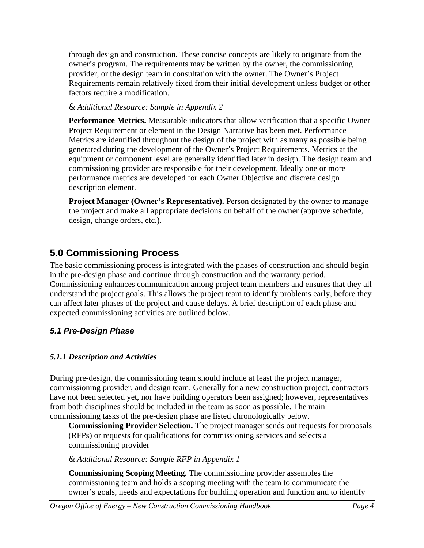through design and construction. These concise concepts are likely to originate from the owner's program. The requirements may be written by the owner, the commissioning provider, or the design team in consultation with the owner. The Owner's Project Requirements remain relatively fixed from their initial development unless budget or other factors require a modification.

#### & *Additional Resource: Sample in Appendix 2*

**Performance Metrics.** Measurable indicators that allow verification that a specific Owner Project Requirement or element in the Design Narrative has been met. Performance Metrics are identified throughout the design of the project with as many as possible being generated during the development of the Owner's Project Requirements. Metrics at the equipment or component level are generally identified later in design. The design team and commissioning provider are responsible for their development. Ideally one or more performance metrics are developed for each Owner Objective and discrete design description element.

**Project Manager (Owner's Representative).** Person designated by the owner to manage the project and make all appropriate decisions on behalf of the owner (approve schedule, design, change orders, etc.).

# **5.0 Commissioning Process**

The basic commissioning process is integrated with the phases of construction and should begin in the pre-design phase and continue through construction and the warranty period. Commissioning enhances communication among project team members and ensures that they all understand the project goals. This allows the project team to identify problems early, before they can affect later phases of the project and cause delays. A brief description of each phase and expected commissioning activities are outlined below.

## *5.1 Pre-Design Phase*

## *5.1.1 Description and Activities*

During pre-design, the commissioning team should include at least the project manager, commissioning provider, and design team. Generally for a new construction project, contractors have not been selected yet, nor have building operators been assigned; however, representatives from both disciplines should be included in the team as soon as possible. The main commissioning tasks of the pre-design phase are listed chronologically below.

**Commissioning Provider Selection.** The project manager sends out requests for proposals (RFPs) or requests for qualifications for commissioning services and selects a commissioning provider

& *Additional Resource: Sample RFP in Appendix 1*

**Commissioning Scoping Meeting.** The commissioning provider assembles the commissioning team and holds a scoping meeting with the team to communicate the owner's goals, needs and expectations for building operation and function and to identify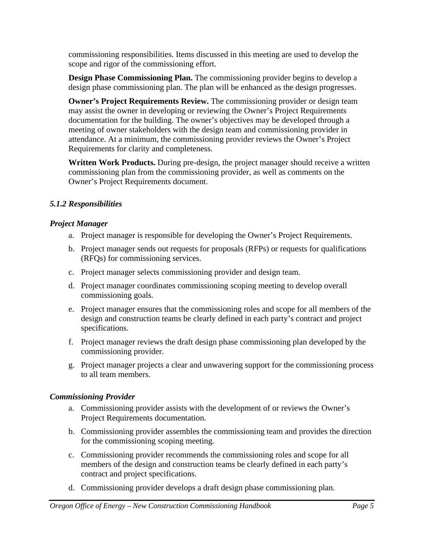commissioning responsibilities. Items discussed in this meeting are used to develop the scope and rigor of the commissioning effort.

**Design Phase Commissioning Plan.** The commissioning provider begins to develop a design phase commissioning plan. The plan will be enhanced as the design progresses.

**Owner's Project Requirements Review.** The commissioning provider or design team may assist the owner in developing or reviewing the Owner's Project Requirements documentation for the building. The owner's objectives may be developed through a meeting of owner stakeholders with the design team and commissioning provider in attendance. At a minimum, the commissioning provider reviews the Owner's Project Requirements for clarity and completeness.

**Written Work Products.** During pre-design, the project manager should receive a written commissioning plan from the commissioning provider, as well as comments on the Owner's Project Requirements document.

## *5.1.2 Responsibilities*

## *Project Manager*

- a. Project manager is responsible for developing the Owner's Project Requirements.
- b. Project manager sends out requests for proposals (RFPs) or requests for qualifications (RFQs) for commissioning services.
- c. Project manager selects commissioning provider and design team.
- d. Project manager coordinates commissioning scoping meeting to develop overall commissioning goals.
- e. Project manager ensures that the commissioning roles and scope for all members of the design and construction teams be clearly defined in each party's contract and project specifications.
- f. Project manager reviews the draft design phase commissioning plan developed by the commissioning provider.
- g. Project manager projects a clear and unwavering support for the commissioning process to all team members.

## *Commissioning Provider*

- a. Commissioning provider assists with the development of or reviews the Owner's Project Requirements documentation.
- b. Commissioning provider assembles the commissioning team and provides the direction for the commissioning scoping meeting.
- c. Commissioning provider recommends the commissioning roles and scope for all members of the design and construction teams be clearly defined in each party's contract and project specifications.
- d. Commissioning provider develops a draft design phase commissioning plan.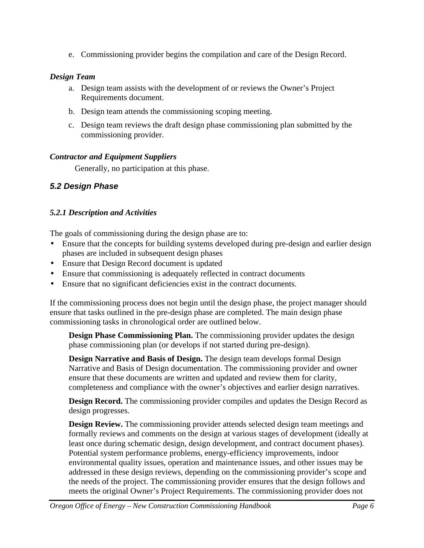e. Commissioning provider begins the compilation and care of the Design Record.

## *Design Team*

- a. Design team assists with the development of or reviews the Owner's Project Requirements document.
- b. Design team attends the commissioning scoping meeting.
- c. Design team reviews the draft design phase commissioning plan submitted by the commissioning provider.

## *Contractor and Equipment Suppliers*

Generally, no participation at this phase.

# *5.2 Design Phase*

## *5.2.1 Description and Activities*

The goals of commissioning during the design phase are to:

- Ensure that the concepts for building systems developed during pre-design and earlier design phases are included in subsequent design phases
- Ensure that Design Record document is updated
- Ensure that commissioning is adequately reflected in contract documents
- Ensure that no significant deficiencies exist in the contract documents.

If the commissioning process does not begin until the design phase, the project manager should ensure that tasks outlined in the pre-design phase are completed. The main design phase commissioning tasks in chronological order are outlined below.

**Design Phase Commissioning Plan.** The commissioning provider updates the design phase commissioning plan (or develops if not started during pre-design).

**Design Narrative and Basis of Design.** The design team develops formal Design Narrative and Basis of Design documentation. The commissioning provider and owner ensure that these documents are written and updated and review them for clarity, completeness and compliance with the owner's objectives and earlier design narratives.

**Design Record.** The commissioning provider compiles and updates the Design Record as design progresses.

**Design Review.** The commissioning provider attends selected design team meetings and formally reviews and comments on the design at various stages of development (ideally at least once during schematic design, design development, and contract document phases). Potential system performance problems, energy-efficiency improvements, indoor environmental quality issues, operation and maintenance issues, and other issues may be addressed in these design reviews, depending on the commissioning provider's scope and the needs of the project. The commissioning provider ensures that the design follows and meets the original Owner's Project Requirements. The commissioning provider does not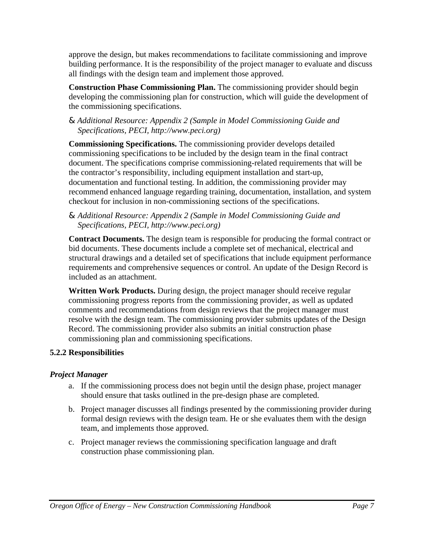approve the design, but makes recommendations to facilitate commissioning and improve building performance. It is the responsibility of the project manager to evaluate and discuss all findings with the design team and implement those approved.

**Construction Phase Commissioning Plan.** The commissioning provider should begin developing the commissioning plan for construction, which will guide the development of the commissioning specifications.

#### *& Additional Resource: Appendix 2 (Sample in Model Commissioning Guide and Specifications, PECI, http://www.peci.org)*

**Commissioning Specifications.** The commissioning provider develops detailed commissioning specifications to be included by the design team in the final contract document. The specifications comprise commissioning-related requirements that will be the contractor's responsibility, including equipment installation and start-up, documentation and functional testing. In addition, the commissioning provider may recommend enhanced language regarding training, documentation, installation, and system checkout for inclusion in non-commissioning sections of the specifications.

*& Additional Resource: Appendix 2 (Sample in Model Commissioning Guide and Specifications, PECI, http://www.peci.org)*

**Contract Documents.** The design team is responsible for producing the formal contract or bid documents. These documents include a complete set of mechanical, electrical and structural drawings and a detailed set of specifications that include equipment performance requirements and comprehensive sequences or control. An update of the Design Record is included as an attachment.

**Written Work Products.** During design, the project manager should receive regular commissioning progress reports from the commissioning provider, as well as updated comments and recommendations from design reviews that the project manager must resolve with the design team. The commissioning provider submits updates of the Design Record. The commissioning provider also submits an initial construction phase commissioning plan and commissioning specifications.

## **5.2.2 Responsibilities**

## *Project Manager*

- a. If the commissioning process does not begin until the design phase, project manager should ensure that tasks outlined in the pre-design phase are completed.
- b. Project manager discusses all findings presented by the commissioning provider during formal design reviews with the design team. He or she evaluates them with the design team, and implements those approved.
- c. Project manager reviews the commissioning specification language and draft construction phase commissioning plan.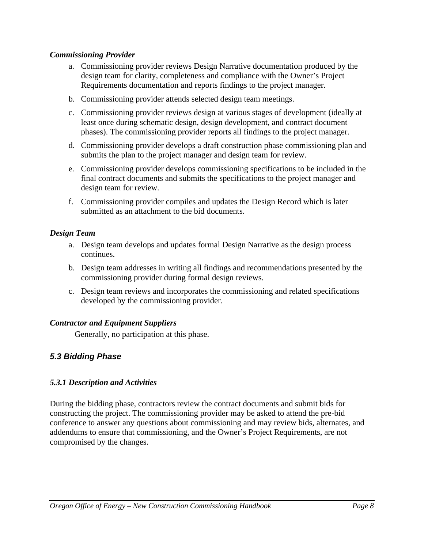#### *Commissioning Provider*

- a. Commissioning provider reviews Design Narrative documentation produced by the design team for clarity, completeness and compliance with the Owner's Project Requirements documentation and reports findings to the project manager.
- b. Commissioning provider attends selected design team meetings.
- c. Commissioning provider reviews design at various stages of development (ideally at least once during schematic design, design development, and contract document phases). The commissioning provider reports all findings to the project manager.
- d. Commissioning provider develops a draft construction phase commissioning plan and submits the plan to the project manager and design team for review.
- e. Commissioning provider develops commissioning specifications to be included in the final contract documents and submits the specifications to the project manager and design team for review.
- f. Commissioning provider compiles and updates the Design Record which is later submitted as an attachment to the bid documents.

#### *Design Team*

- a. Design team develops and updates formal Design Narrative as the design process continues.
- b. Design team addresses in writing all findings and recommendations presented by the commissioning provider during formal design reviews.
- c. Design team reviews and incorporates the commissioning and related specifications developed by the commissioning provider.

## *Contractor and Equipment Suppliers*

Generally, no participation at this phase.

## *5.3 Bidding Phase*

## *5.3.1 Description and Activities*

During the bidding phase, contractors review the contract documents and submit bids for constructing the project. The commissioning provider may be asked to attend the pre-bid conference to answer any questions about commissioning and may review bids, alternates, and addendums to ensure that commissioning, and the Owner's Project Requirements, are not compromised by the changes.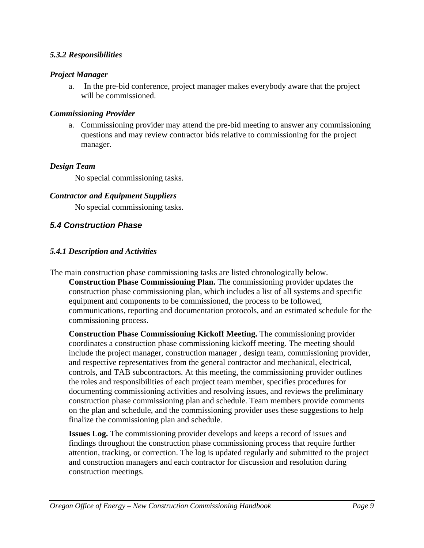#### *5.3.2 Responsibilities*

#### *Project Manager*

a. In the pre-bid conference, project manager makes everybody aware that the project will be commissioned.

#### *Commissioning Provider*

a. Commissioning provider may attend the pre-bid meeting to answer any commissioning questions and may review contractor bids relative to commissioning for the project manager.

#### *Design Team*

No special commissioning tasks.

#### *Contractor and Equipment Suppliers*

No special commissioning tasks.

## *5.4 Construction Phase*

#### *5.4.1 Description and Activities*

The main construction phase commissioning tasks are listed chronologically below. **Construction Phase Commissioning Plan.** The commissioning provider updates the construction phase commissioning plan, which includes a list of all systems and specific equipment and components to be commissioned, the process to be followed, communications, reporting and documentation protocols, and an estimated schedule for the commissioning process.

**Construction Phase Commissioning Kickoff Meeting.** The commissioning provider coordinates a construction phase commissioning kickoff meeting. The meeting should include the project manager, construction manager , design team, commissioning provider, and respective representatives from the general contractor and mechanical, electrical, controls, and TAB subcontractors. At this meeting, the commissioning provider outlines the roles and responsibilities of each project team member, specifies procedures for documenting commissioning activities and resolving issues, and reviews the preliminary construction phase commissioning plan and schedule. Team members provide comments on the plan and schedule, and the commissioning provider uses these suggestions to help finalize the commissioning plan and schedule.

**Issues Log.** The commissioning provider develops and keeps a record of issues and findings throughout the construction phase commissioning process that require further attention, tracking, or correction. The log is updated regularly and submitted to the project and construction managers and each contractor for discussion and resolution during construction meetings.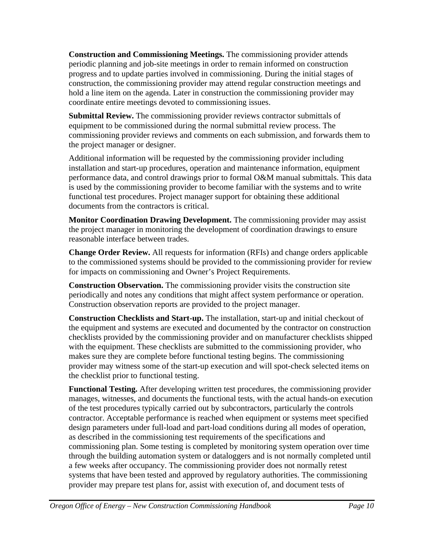**Construction and Commissioning Meetings.** The commissioning provider attends periodic planning and job-site meetings in order to remain informed on construction progress and to update parties involved in commissioning. During the initial stages of construction, the commissioning provider may attend regular construction meetings and hold a line item on the agenda. Later in construction the commissioning provider may coordinate entire meetings devoted to commissioning issues.

**Submittal Review.** The commissioning provider reviews contractor submittals of equipment to be commissioned during the normal submittal review process. The commissioning provider reviews and comments on each submission, and forwards them to the project manager or designer.

Additional information will be requested by the commissioning provider including installation and start-up procedures, operation and maintenance information, equipment performance data, and control drawings prior to formal O&M manual submittals. This data is used by the commissioning provider to become familiar with the systems and to write functional test procedures. Project manager support for obtaining these additional documents from the contractors is critical.

**Monitor Coordination Drawing Development.** The commissioning provider may assist the project manager in monitoring the development of coordination drawings to ensure reasonable interface between trades.

**Change Order Review.** All requests for information (RFIs) and change orders applicable to the commissioned systems should be provided to the commissioning provider for review for impacts on commissioning and Owner's Project Requirements.

**Construction Observation.** The commissioning provider visits the construction site periodically and notes any conditions that might affect system performance or operation. Construction observation reports are provided to the project manager.

**Construction Checklists and Start-up.** The installation, start-up and initial checkout of the equipment and systems are executed and documented by the contractor on construction checklists provided by the commissioning provider and on manufacturer checklists shipped with the equipment. These checklists are submitted to the commissioning provider, who makes sure they are complete before functional testing begins. The commissioning provider may witness some of the start-up execution and will spot-check selected items on the checklist prior to functional testing.

**Functional Testing.** After developing written test procedures, the commissioning provider manages, witnesses, and documents the functional tests, with the actual hands-on execution of the test procedures typically carried out by subcontractors, particularly the controls contractor. Acceptable performance is reached when equipment or systems meet specified design parameters under full-load and part-load conditions during all modes of operation, as described in the commissioning test requirements of the specifications and commissioning plan. Some testing is completed by monitoring system operation over time through the building automation system or dataloggers and is not normally completed until a few weeks after occupancy. The commissioning provider does not normally retest systems that have been tested and approved by regulatory authorities. The commissioning provider may prepare test plans for, assist with execution of, and document tests of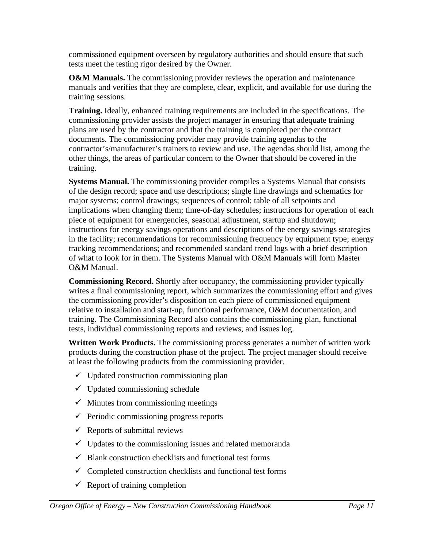commissioned equipment overseen by regulatory authorities and should ensure that such tests meet the testing rigor desired by the Owner.

**O&M Manuals.** The commissioning provider reviews the operation and maintenance manuals and verifies that they are complete, clear, explicit, and available for use during the training sessions.

**Training.** Ideally, enhanced training requirements are included in the specifications. The commissioning provider assists the project manager in ensuring that adequate training plans are used by the contractor and that the training is completed per the contract documents. The commissioning provider may provide training agendas to the contractor's/manufacturer's trainers to review and use. The agendas should list, among the other things, the areas of particular concern to the Owner that should be covered in the training.

**Systems Manual.** The commissioning provider compiles a Systems Manual that consists of the design record; space and use descriptions; single line drawings and schematics for major systems; control drawings; sequences of control; table of all setpoints and implications when changing them; time-of-day schedules; instructions for operation of each piece of equipment for emergencies, seasonal adjustment, startup and shutdown; instructions for energy savings operations and descriptions of the energy savings strategies in the facility; recommendations for recommissioning frequency by equipment type; energy tracking recommendations; and recommended standard trend logs with a brief description of what to look for in them. The Systems Manual with O&M Manuals will form Master O&M Manual.

**Commissioning Record.** Shortly after occupancy, the commissioning provider typically writes a final commissioning report, which summarizes the commissioning effort and gives the commissioning provider's disposition on each piece of commissioned equipment relative to installation and start-up, functional performance, O&M documentation, and training. The Commissioning Record also contains the commissioning plan, functional tests, individual commissioning reports and reviews, and issues log.

**Written Work Products.** The commissioning process generates a number of written work products during the construction phase of the project. The project manager should receive at least the following products from the commissioning provider.

- $\checkmark$  Updated construction commissioning plan
- $\checkmark$  Updated commissioning schedule
- $\checkmark$  Minutes from commissioning meetings
- $\checkmark$  Periodic commissioning progress reports
- $\checkmark$  Reports of submittal reviews
- $\checkmark$  Updates to the commissioning issues and related memoranda
- $\checkmark$  Blank construction checklists and functional test forms
- $\checkmark$  Completed construction checklists and functional test forms
- $\checkmark$  Report of training completion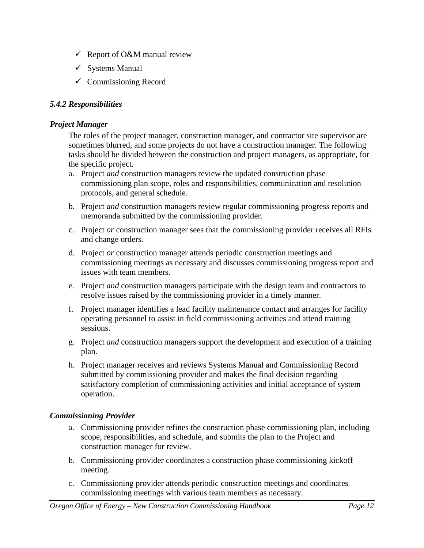- $\checkmark$  Report of O&M manual review
- $\checkmark$  Systems Manual
- $\checkmark$  Commissioning Record

#### *5.4.2 Responsibilities*

#### *Project Manager*

The roles of the project manager, construction manager, and contractor site supervisor are sometimes blurred, and some projects do not have a construction manager. The following tasks should be divided between the construction and project managers, as appropriate, for the specific project.

- a. Project *and* construction managers review the updated construction phase commissioning plan scope, roles and responsibilities, communication and resolution protocols, and general schedule.
- b. Project *and* construction managers review regular commissioning progress reports and memoranda submitted by the commissioning provider.
- c. Project *or* construction manager sees that the commissioning provider receives all RFIs and change orders.
- d. Project *or* construction manager attends periodic construction meetings and commissioning meetings as necessary and discusses commissioning progress report and issues with team members.
- e. Project *and* construction managers participate with the design team and contractors to resolve issues raised by the commissioning provider in a timely manner.
- f. Project manager identifies a lead facility maintenance contact and arranges for facility operating personnel to assist in field commissioning activities and attend training sessions.
- g. Project *and* construction managers support the development and execution of a training plan.
- h. Project manager receives and reviews Systems Manual and Commissioning Record submitted by commissioning provider and makes the final decision regarding satisfactory completion of commissioning activities and initial acceptance of system operation.

#### *Commissioning Provider*

- a. Commissioning provider refines the construction phase commissioning plan, including scope, responsibilities, and schedule, and submits the plan to the Project and construction manager for review.
- b. Commissioning provider coordinates a construction phase commissioning kickoff meeting.
- c. Commissioning provider attends periodic construction meetings and coordinates commissioning meetings with various team members as necessary.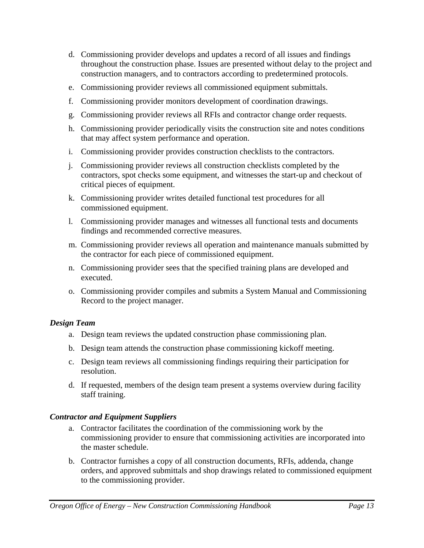- d. Commissioning provider develops and updates a record of all issues and findings throughout the construction phase. Issues are presented without delay to the project and construction managers, and to contractors according to predetermined protocols.
- e. Commissioning provider reviews all commissioned equipment submittals.
- f. Commissioning provider monitors development of coordination drawings.
- g. Commissioning provider reviews all RFIs and contractor change order requests.
- h. Commissioning provider periodically visits the construction site and notes conditions that may affect system performance and operation.
- i. Commissioning provider provides construction checklists to the contractors.
- j. Commissioning provider reviews all construction checklists completed by the contractors, spot checks some equipment, and witnesses the start-up and checkout of critical pieces of equipment.
- k. Commissioning provider writes detailed functional test procedures for all commissioned equipment.
- l. Commissioning provider manages and witnesses all functional tests and documents findings and recommended corrective measures.
- m. Commissioning provider reviews all operation and maintenance manuals submitted by the contractor for each piece of commissioned equipment.
- n. Commissioning provider sees that the specified training plans are developed and executed.
- o. Commissioning provider compiles and submits a System Manual and Commissioning Record to the project manager.

## *Design Team*

- a. Design team reviews the updated construction phase commissioning plan.
- b. Design team attends the construction phase commissioning kickoff meeting.
- c. Design team reviews all commissioning findings requiring their participation for resolution.
- d. If requested, members of the design team present a systems overview during facility staff training.

## *Contractor and Equipment Suppliers*

- a. Contractor facilitates the coordination of the commissioning work by the commissioning provider to ensure that commissioning activities are incorporated into the master schedule.
- b. Contractor furnishes a copy of all construction documents, RFIs, addenda, change orders, and approved submittals and shop drawings related to commissioned equipment to the commissioning provider.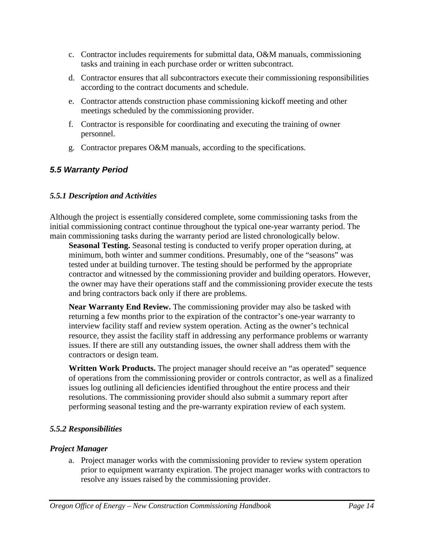- c. Contractor includes requirements for submittal data, O&M manuals, commissioning tasks and training in each purchase order or written subcontract.
- d. Contractor ensures that all subcontractors execute their commissioning responsibilities according to the contract documents and schedule.
- e. Contractor attends construction phase commissioning kickoff meeting and other meetings scheduled by the commissioning provider.
- f. Contractor is responsible for coordinating and executing the training of owner personnel.
- g. Contractor prepares O&M manuals, according to the specifications.

## *5.5 Warranty Period*

## *5.5.1 Description and Activities*

Although the project is essentially considered complete, some commissioning tasks from the initial commissioning contract continue throughout the typical one-year warranty period. The main commissioning tasks during the warranty period are listed chronologically below.

**Seasonal Testing.** Seasonal testing is conducted to verify proper operation during, at minimum, both winter and summer conditions. Presumably, one of the "seasons" was tested under at building turnover. The testing should be performed by the appropriate contractor and witnessed by the commissioning provider and building operators. However, the owner may have their operations staff and the commissioning provider execute the tests and bring contractors back only if there are problems.

**Near Warranty End Review.** The commissioning provider may also be tasked with returning a few months prior to the expiration of the contractor's one-year warranty to interview facility staff and review system operation. Acting as the owner's technical resource, they assist the facility staff in addressing any performance problems or warranty issues. If there are still any outstanding issues, the owner shall address them with the contractors or design team.

**Written Work Products.** The project manager should receive an "as operated" sequence of operations from the commissioning provider or controls contractor, as well as a finalized issues log outlining all deficiencies identified throughout the entire process and their resolutions. The commissioning provider should also submit a summary report after performing seasonal testing and the pre-warranty expiration review of each system.

## *5.5.2 Responsibilities*

## *Project Manager*

a. Project manager works with the commissioning provider to review system operation prior to equipment warranty expiration. The project manager works with contractors to resolve any issues raised by the commissioning provider.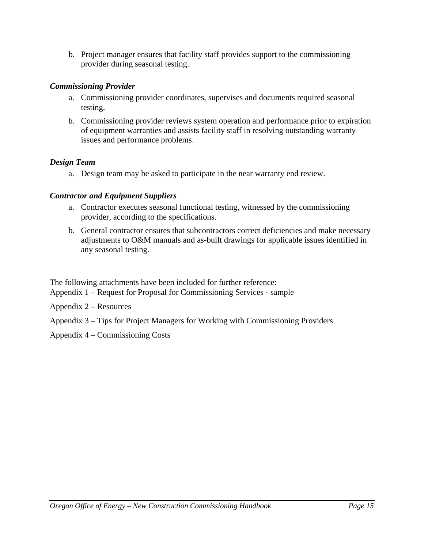b. Project manager ensures that facility staff provides support to the commissioning provider during seasonal testing.

#### *Commissioning Provider*

- a. Commissioning provider coordinates, supervises and documents required seasonal testing.
- b. Commissioning provider reviews system operation and performance prior to expiration of equipment warranties and assists facility staff in resolving outstanding warranty issues and performance problems.

#### *Design Team*

a. Design team may be asked to participate in the near warranty end review.

#### *Contractor and Equipment Suppliers*

- a. Contractor executes seasonal functional testing, witnessed by the commissioning provider, according to the specifications.
- b. General contractor ensures that subcontractors correct deficiencies and make necessary adjustments to O&M manuals and as-built drawings for applicable issues identified in any seasonal testing.

The following attachments have been included for further reference:

- Appendix 1 Request for Proposal for Commissioning Services sample
- Appendix 2 Resources
- Appendix 3 Tips for Project Managers for Working with Commissioning Providers
- Appendix 4 Commissioning Costs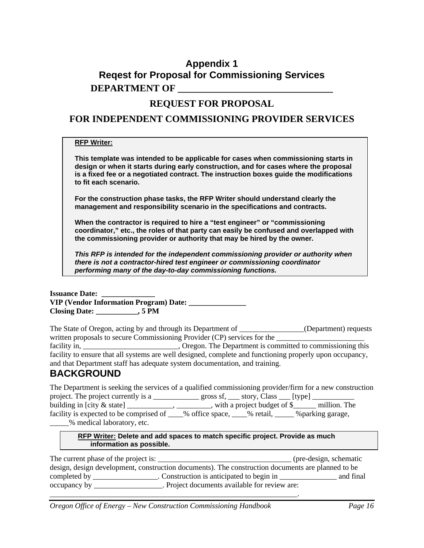# **Appendix 1**

# **Reqest for Proposal for Commissioning Services DEPARTMENT OF \_\_\_\_\_\_\_\_\_\_\_\_\_\_\_\_\_\_\_\_\_\_\_\_\_\_\_\_\_\_\_\_**

# **REQUEST FOR PROPOSAL**

## **FOR INDEPENDENT COMMISSIONING PROVIDER SERVICES**

#### **RFP Writer:**

**This template was intended to be applicable for cases when commissioning starts in design or when it starts during early construction, and for cases where the proposal is a fixed fee or a negotiated contract. The instruction boxes guide the modifications to fit each scenario.**

**For the construction phase tasks, the RFP Writer should understand clearly the management and responsibility scenario in the specifications and contracts.**

**When the contractor is required to hire a "test engineer" or "commissioning coordinator," etc., the roles of that party can easily be confused and overlapped with the commissioning provider or authority that may be hired by the owner.**

*This RFP is intended for the independent commissioning provider or authority when there is not a contractor-hired test engineer or commissioning coordinator performing many of the day-to-day commissioning functions.*

## **Issuance Date:**

**VIP (Vendor Information Program) Date: \_\_\_\_\_\_\_\_\_\_\_\_\_\_\_ Closing Date: \_\_\_\_\_\_\_\_\_\_\_, 5 PM**

| The State of Oregon, acting by and through its Department of                                             |                                                             | (Department) requests |
|----------------------------------------------------------------------------------------------------------|-------------------------------------------------------------|-----------------------|
| written proposals to secure Commissioning Provider (CP) services for the                                 |                                                             |                       |
|                                                                                                          | , Oregon. The Department is committed to commissioning this |                       |
| facility to ensure that all systems are well designed, complete and functioning properly upon occupancy, |                                                             |                       |
| and that Department staff has adequate system documentation, and training.                               |                                                             |                       |
| <b>DACKCROUNID</b>                                                                                       |                                                             |                       |

# **BACKGROUND**

The Department is seeking the services of a qualified commissioning provider/firm for a new construction project. The project currently is a \_\_\_\_\_\_\_\_\_\_\_\_\_\_ gross sf, \_\_\_ story, Class \_\_\_ [type] \_\_\_\_\_ building in [city & state] \_\_\_\_\_\_\_\_\_\_\_\_, \_\_\_\_\_\_\_\_\_, with a project budget of \$\_\_\_\_\_\_ million. The facility is expected to be comprised of \_\_\_\_% office space, \_\_\_\_% retail, \_\_\_\_\_ % parking garage, \_\_\_\_\_% medical laboratory, etc.

#### **RFP Writer: Delete and add spaces to match specific project. Provide as much information as possible.**

|              | The current phase of the project is:                                                              | (pre-design, schematic |
|--------------|---------------------------------------------------------------------------------------------------|------------------------|
|              | design, design development, construction documents). The construction documents are planned to be |                        |
| completed by | Construction is anticipated to begin in                                                           | and final              |
| occupancy by | . Project documents available for review are:                                                     |                        |

\_\_\_\_\_\_\_\_\_\_\_\_\_\_\_\_\_\_\_\_\_\_\_\_\_\_\_\_\_\_\_\_\_\_\_\_\_\_\_\_\_\_\_\_\_\_\_\_\_\_\_\_\_\_\_\_\_\_\_\_\_\_\_\_\_.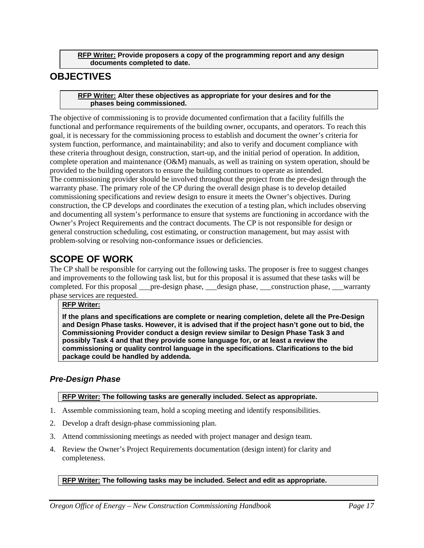**RFP Writer: Provide proposers a copy of the programming report and any design documents completed to date.**

# **OBJECTIVES**

**RFP Writer: Alter these objectives as appropriate for your desires and for the phases being commissioned.**

The objective of commissioning is to provide documented confirmation that a facility fulfills the functional and performance requirements of the building owner, occupants, and operators. To reach this goal, it is necessary for the commissioning process to establish and document the owner's criteria for system function, performance, and maintainability; and also to verify and document compliance with these criteria throughout design, construction, start-up, and the initial period of operation. In addition, complete operation and maintenance (O&M) manuals, as well as training on system operation, should be provided to the building operators to ensure the building continues to operate as intended. The commissioning provider should be involved throughout the project from the pre-design through the warranty phase. The primary role of the CP during the overall design phase is to develop detailed commissioning specifications and review design to ensure it meets the Owner's objectives. During construction, the CP develops and coordinates the execution of a testing plan, which includes observing and documenting all system's performance to ensure that systems are functioning in accordance with the Owner's Project Requirements and the contract documents. The CP is not responsible for design or general construction scheduling, cost estimating, or construction management, but may assist with problem-solving or resolving non-conformance issues or deficiencies.

# **SCOPE OF WORK**

The CP shall be responsible for carrying out the following tasks. The proposer is free to suggest changes and improvements to the following task list, but for this proposal it is assumed that these tasks will be completed. For this proposal <u>pre-design phase</u>, design phase, construction phase, warranty phase services are requested.

#### **RFP Writer:**

**If the plans and specifications are complete or nearing completion, delete all the Pre-Design and Design Phase tasks. However, it is advised that if the project hasn't gone out to bid, the Commissioning Provider conduct a design review similar to Design Phase Task 3 and possibly Task 4 and that they provide some language for, or at least a review the commissioning or quality control language in the specifications. Clarifications to the bid package could be handled by addenda.**

## *Pre-Design Phase*

#### **RFP Writer: The following tasks are generally included. Select as appropriate.**

- 1. Assemble commissioning team, hold a scoping meeting and identify responsibilities.
- 2. Develop a draft design-phase commissioning plan.
- 3. Attend commissioning meetings as needed with project manager and design team.
- 4. Review the Owner's Project Requirements documentation (design intent) for clarity and completeness.

#### **RFP Writer: The following tasks may be included. Select and edit as appropriate.**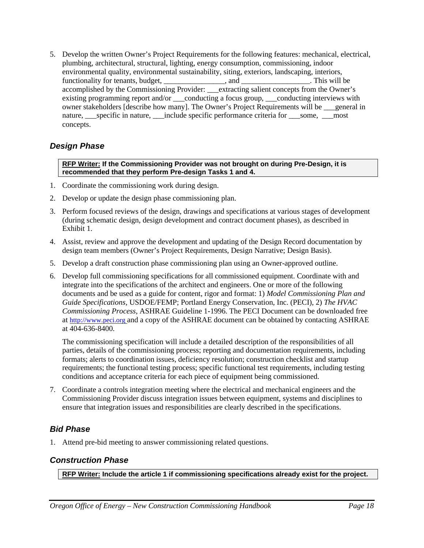5. Develop the written Owner's Project Requirements for the following features: mechanical, electrical, plumbing, architectural, structural, lighting, energy consumption, commissioning, indoor environmental quality, environmental sustainability, siting, exteriors, landscaping, interiors, functionality for tenants, budget, \_\_\_\_\_\_\_\_\_\_\_\_\_\_\_\_, and \_\_\_\_\_\_\_\_\_\_\_\_\_\_\_\_\_. This will be accomplished by the Commissioning Provider: \_\_\_extracting salient concepts from the Owner's existing programming report and/or conducting a focus group, conducting interviews with owner stakeholders [describe how many]. The Owner's Project Requirements will be \_\_\_general in nature, specific in nature, include specific performance criteria for some, most concepts.

#### *Design Phase*

**RFP Writer: If the Commissioning Provider was not brought on during Pre-Design, it is recommended that they perform Pre-design Tasks 1 and 4.**

- 1. Coordinate the commissioning work during design.
- 2. Develop or update the design phase commissioning plan.
- 3. Perform focused reviews of the design, drawings and specifications at various stages of development (during schematic design, design development and contract document phases), as described in Exhibit 1.
- 4. Assist, review and approve the development and updating of the Design Record documentation by design team members (Owner's Project Requirements, Design Narrative; Design Basis).
- 5. Develop a draft construction phase commissioning plan using an Owner-approved outline.
- 6. Develop full commissioning specifications for all commissioned equipment. Coordinate with and integrate into the specifications of the architect and engineers. One or more of the following documents and be used as a guide for content, rigor and format: 1) *Model Commissioning Plan and Guide Specifications*, USDOE/FEMP; Portland Energy Conservation, Inc. (PECI), 2) *The HVAC Commissioning Process*, ASHRAE Guideline 1-1996. The PECI Document can be downloaded free at http://www.peci.org and a copy of the ASHRAE document can be obtained by contacting ASHRAE at 404-636-8400.

The commissioning specification will include a detailed description of the responsibilities of all parties, details of the commissioning process; reporting and documentation requirements, including formats; alerts to coordination issues, deficiency resolution; construction checklist and startup requirements; the functional testing process; specific functional test requirements, including testing conditions and acceptance criteria for each piece of equipment being commissioned.

7. Coordinate a controls integration meeting where the electrical and mechanical engineers and the Commissioning Provider discuss integration issues between equipment, systems and disciplines to ensure that integration issues and responsibilities are clearly described in the specifications.

#### *Bid Phase*

1. Attend pre-bid meeting to answer commissioning related questions.

#### *Construction Phase*

**RFP Writer: Include the article 1 if commissioning specifications already exist for the project.**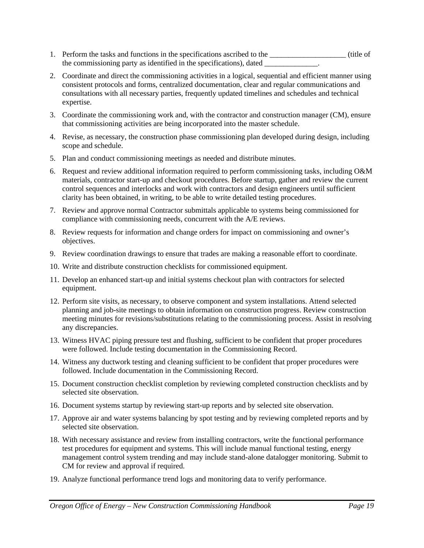- 1. Perform the tasks and functions in the specifications ascribed to the \_\_\_\_\_\_\_\_\_\_\_\_\_\_\_\_\_\_\_\_\_\_\_\_\_\_ (title of the commissioning party as identified in the specifications), dated \_\_\_\_\_\_\_\_\_\_\_\_\_\_.
- 2. Coordinate and direct the commissioning activities in a logical, sequential and efficient manner using consistent protocols and forms, centralized documentation, clear and regular communications and consultations with all necessary parties, frequently updated timelines and schedules and technical expertise.
- 3. Coordinate the commissioning work and, with the contractor and construction manager (CM), ensure that commissioning activities are being incorporated into the master schedule.
- 4. Revise, as necessary, the construction phase commissioning plan developed during design, including scope and schedule.
- 5. Plan and conduct commissioning meetings as needed and distribute minutes.
- 6. Request and review additional information required to perform commissioning tasks, including O&M materials, contractor start-up and checkout procedures. Before startup, gather and review the current control sequences and interlocks and work with contractors and design engineers until sufficient clarity has been obtained, in writing, to be able to write detailed testing procedures.
- 7. Review and approve normal Contractor submittals applicable to systems being commissioned for compliance with commissioning needs, concurrent with the A/E reviews.
- 8. Review requests for information and change orders for impact on commissioning and owner's objectives.
- 9. Review coordination drawings to ensure that trades are making a reasonable effort to coordinate.
- 10. Write and distribute construction checklists for commissioned equipment.
- 11. Develop an enhanced start-up and initial systems checkout plan with contractors for selected equipment.
- 12. Perform site visits, as necessary, to observe component and system installations. Attend selected planning and job-site meetings to obtain information on construction progress. Review construction meeting minutes for revisions/substitutions relating to the commissioning process. Assist in resolving any discrepancies.
- 13. Witness HVAC piping pressure test and flushing, sufficient to be confident that proper procedures were followed. Include testing documentation in the Commissioning Record.
- 14. Witness any ductwork testing and cleaning sufficient to be confident that proper procedures were followed. Include documentation in the Commissioning Record.
- 15. Document construction checklist completion by reviewing completed construction checklists and by selected site observation.
- 16. Document systems startup by reviewing start-up reports and by selected site observation.
- 17. Approve air and water systems balancing by spot testing and by reviewing completed reports and by selected site observation.
- 18. With necessary assistance and review from installing contractors, write the functional performance test procedures for equipment and systems. This will include manual functional testing, energy management control system trending and may include stand-alone datalogger monitoring. Submit to CM for review and approval if required.
- 19. Analyze functional performance trend logs and monitoring data to verify performance.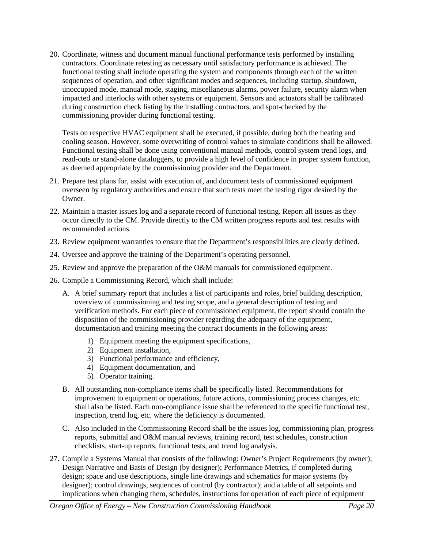20. Coordinate, witness and document manual functional performance tests performed by installing contractors. Coordinate retesting as necessary until satisfactory performance is achieved. The functional testing shall include operating the system and components through each of the written sequences of operation, and other significant modes and sequences, including startup, shutdown, unoccupied mode, manual mode, staging, miscellaneous alarms, power failure, security alarm when impacted and interlocks with other systems or equipment. Sensors and actuators shall be calibrated during construction check listing by the installing contractors, and spot-checked by the commissioning provider during functional testing.

Tests on respective HVAC equipment shall be executed, if possible, during both the heating and cooling season. However, some overwriting of control values to simulate conditions shall be allowed. Functional testing shall be done using conventional manual methods, control system trend logs, and read-outs or stand-alone dataloggers, to provide a high level of confidence in proper system function, as deemed appropriate by the commissioning provider and the Department.

- 21. Prepare test plans for, assist with execution of, and document tests of commissioned equipment overseen by regulatory authorities and ensure that such tests meet the testing rigor desired by the Owner.
- 22. Maintain a master issues log and a separate record of functional testing. Report all issues as they occur directly to the CM. Provide directly to the CM written progress reports and test results with recommended actions.
- 23. Review equipment warranties to ensure that the Department's responsibilities are clearly defined.
- 24. Oversee and approve the training of the Department's operating personnel.
- 25. Review and approve the preparation of the O&M manuals for commissioned equipment.
- 26. Compile a Commissioning Record, which shall include:
	- A. A brief summary report that includes a list of participants and roles, brief building description, overview of commissioning and testing scope, and a general description of testing and verification methods. For each piece of commissioned equipment, the report should contain the disposition of the commissioning provider regarding the adequacy of the equipment, documentation and training meeting the contract documents in the following areas:
		- 1) Equipment meeting the equipment specifications,
		- 2) Equipment installation,
		- 3) Functional performance and efficiency,
		- 4) Equipment documentation, and
		- 5) Operator training.
	- B. All outstanding non-compliance items shall be specifically listed. Recommendations for improvement to equipment or operations, future actions, commissioning process changes, etc. shall also be listed. Each non-compliance issue shall be referenced to the specific functional test, inspection, trend log, etc. where the deficiency is documented.
	- C. Also included in the Commissioning Record shall be the issues log, commissioning plan, progress reports, submittal and O&M manual reviews, training record, test schedules, construction checklists, start-up reports, functional tests, and trend log analysis.
- 27. Compile a Systems Manual that consists of the following: Owner's Project Requirements (by owner); Design Narrative and Basis of Design (by designer); Performance Metrics, if completed during design; space and use descriptions, single line drawings and schematics for major systems (by designer); control drawings, sequences of control (by contractor); and a table of all setpoints and implications when changing them, schedules, instructions for operation of each piece of equipment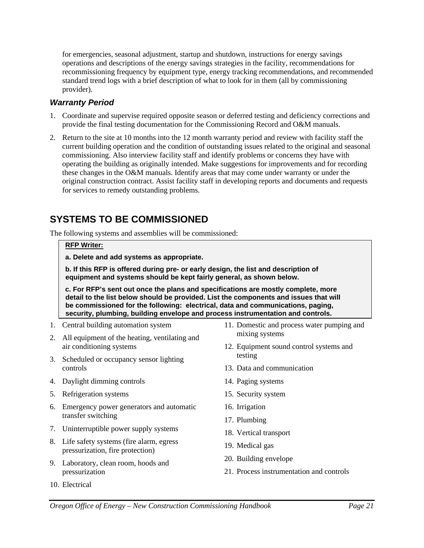for emergencies, seasonal adjustment, startup and shutdown, instructions for energy savings operations and descriptions of the energy savings strategies in the facility, recommendations for recommissioning frequency by equipment type, energy tracking recommendations, and recommended standard trend logs with a brief description of what to look for in them (all by commissioning provider).

#### *Warranty Period*

- 1. Coordinate and supervise required opposite season or deferred testing and deficiency corrections and provide the final testing documentation for the Commissioning Record and O&M manuals.
- 2. Return to the site at 10 months into the 12 month warranty period and review with facility staff the current building operation and the condition of outstanding issues related to the original and seasonal commissioning. Also interview facility staff and identify problems or concerns they have with operating the building as originally intended. Make suggestions for improvements and for recording these changes in the O&M manuals. Identify areas that may come under warranty or under the original construction contract. Assist facility staff in developing reports and documents and requests for services to remedy outstanding problems.

# **SYSTEMS TO BE COMMISSIONED**

The following systems and assemblies will be commissioned:

#### **RFP Writer:**

**a. Delete and add systems as appropriate.**

**b. If this RFP is offered during pre- or early design, the list and description of equipment and systems should be kept fairly general, as shown below.**

**c. For RFP's sent out once the plans and specifications are mostly complete, more detail to the list below should be provided. List the components and issues that will be commissioned for the following: electrical, data and communications, paging, security, plumbing, building envelope and process instrumentation and controls.**

- 1. Central building automation system
- 2. All equipment of the heating, ventilating and air conditioning systems
- 3. Scheduled or occupancy sensor lighting controls
- 4. Daylight dimming controls
- 5. Refrigeration systems
- 6. Emergency power generators and automatic transfer switching
- 7. Uninterruptible power supply systems
- 8. Life safety systems (fire alarm, egress pressurization, fire protection)
- 9. Laboratory, clean room, hoods and pressurization
- 11. Domestic and process water pumping and mixing systems
- 12. Equipment sound control systems and testing
- 13. Data and communication
- 14. Paging systems
- 15. Security system
- 16. Irrigation
- 17. Plumbing
- 18. Vertical transport
- 19. Medical gas
- 20. Building envelope
- 21. Process instrumentation and controls

10. Electrical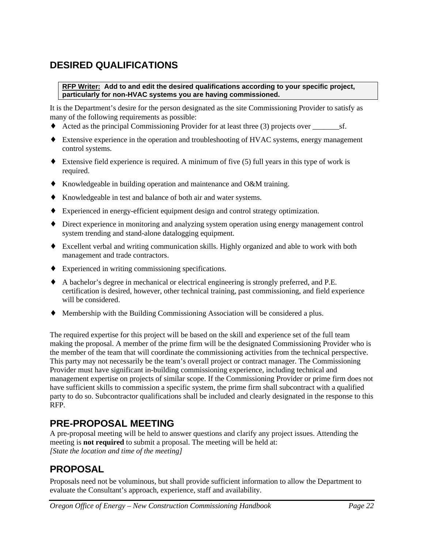# **DESIRED QUALIFICATIONS**

#### **RFP Writer: Add to and edit the desired qualifications according to your specific project, particularly for non-HVAC systems you are having commissioned.**

It is the Department's desire for the person designated as the site Commissioning Provider to satisfy as many of the following requirements as possible:

- ♦ Acted as the principal Commissioning Provider for at least three (3) projects over \_\_\_\_\_\_\_sf.
- ♦ Extensive experience in the operation and troubleshooting of HVAC systems, energy management control systems.
- $\blacklozenge$  Extensive field experience is required. A minimum of five (5) full years in this type of work is required.
- ♦ Knowledgeable in building operation and maintenance and O&M training.
- ♦ Knowledgeable in test and balance of both air and water systems.
- ♦ Experienced in energy-efficient equipment design and control strategy optimization.
- ♦ Direct experience in monitoring and analyzing system operation using energy management control system trending and stand-alone datalogging equipment.
- ♦ Excellent verbal and writing communication skills. Highly organized and able to work with both management and trade contractors.
- ♦ Experienced in writing commissioning specifications.
- ♦ A bachelor's degree in mechanical or electrical engineering is strongly preferred, and P.E. certification is desired, however, other technical training, past commissioning, and field experience will be considered.
- ♦ Membership with the Building Commissioning Association will be considered a plus.

The required expertise for this project will be based on the skill and experience set of the full team making the proposal. A member of the prime firm will be the designated Commissioning Provider who is the member of the team that will coordinate the commissioning activities from the technical perspective. This party may not necessarily be the team's overall project or contract manager. The Commissioning Provider must have significant in-building commissioning experience, including technical and management expertise on projects of similar scope. If the Commissioning Provider or prime firm does not have sufficient skills to commission a specific system, the prime firm shall subcontract with a qualified party to do so. Subcontractor qualifications shall be included and clearly designated in the response to this RFP.

# **PRE-PROPOSAL MEETING**

A pre-proposal meeting will be held to answer questions and clarify any project issues. Attending the meeting is **not required** to submit a proposal. The meeting will be held at: *[State the location and time of the meeting]*

# **PROPOSAL**

Proposals need not be voluminous, but shall provide sufficient information to allow the Department to evaluate the Consultant's approach, experience, staff and availability.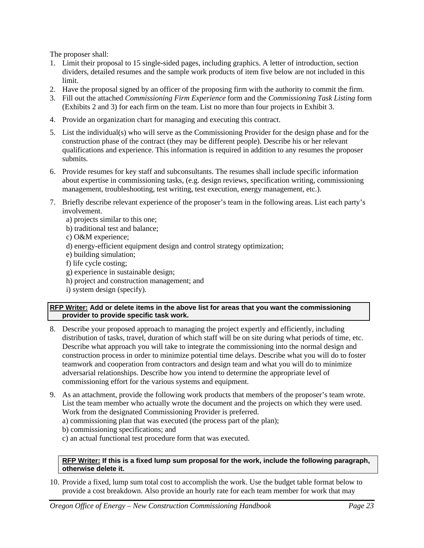The proposer shall:

- 1. Limit their proposal to 15 single-sided pages, including graphics. A letter of introduction, section dividers, detailed resumes and the sample work products of item five below are not included in this limit.
- 2. Have the proposal signed by an officer of the proposing firm with the authority to commit the firm.
- 3. Fill out the attached *Commissioning Firm Experience* form and the *Commissioning Task Listing* form (Exhibits 2 and 3) for each firm on the team. List no more than four projects in Exhibit 3.
- 4. Provide an organization chart for managing and executing this contract.
- 5. List the individual(s) who will serve as the Commissioning Provider for the design phase and for the construction phase of the contract (they may be different people). Describe his or her relevant qualifications and experience. This information is required in addition to any resumes the proposer submits.
- 6. Provide resumes for key staff and subconsultants. The resumes shall include specific information about expertise in commissioning tasks, (e.g. design reviews, specification writing, commissioning management, troubleshooting, test writing, test execution, energy management, etc.).
- 7. Briefly describe relevant experience of the proposer's team in the following areas. List each party's involvement.
	- a) projects similar to this one;
	- b) traditional test and balance;
	- c) O&M experience;
	- d) energy-efficient equipment design and control strategy optimization;
	- e) building simulation;
	- f) life cycle costing;
	- g) experience in sustainable design;
	- h) project and construction management; and
	- i) system design (specify).

#### **RFP Writer: Add or delete items in the above list for areas that you want the commissioning provider to provide specific task work.**

- 8. Describe your proposed approach to managing the project expertly and efficiently, including distribution of tasks, travel, duration of which staff will be on site during what periods of time, etc. Describe what approach you will take to integrate the commissioning into the normal design and construction process in order to minimize potential time delays. Describe what you will do to foster teamwork and cooperation from contractors and design team and what you will do to minimize adversarial relationships. Describe how you intend to determine the appropriate level of commissioning effort for the various systems and equipment.
- 9. As an attachment, provide the following work products that members of the proposer's team wrote. List the team member who actually wrote the document and the projects on which they were used. Work from the designated Commissioning Provider is preferred.
	- a) commissioning plan that was executed (the process part of the plan);
	- b) commissioning specifications; and
	- c) an actual functional test procedure form that was executed.

#### **RFP Writer: If this is a fixed lump sum proposal for the work, include the following paragraph, otherwise delete it.**

10. Provide a fixed, lump sum total cost to accomplish the work. Use the budget table format below to provide a cost breakdown. Also provide an hourly rate for each team member for work that may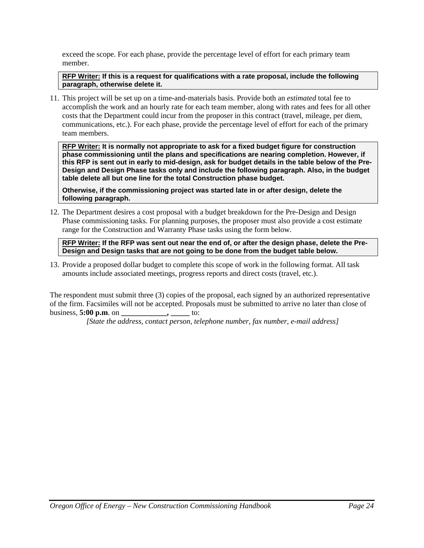exceed the scope. For each phase, provide the percentage level of effort for each primary team member.

**RFP Writer: If this is a request for qualifications with a rate proposal, include the following paragraph, otherwise delete it.**

11. This project will be set up on a time-and-materials basis. Provide both an *estimated* total fee to accomplish the work and an hourly rate for each team member, along with rates and fees for all other costs that the Department could incur from the proposer in this contract (travel, mileage, per diem, communications, etc.). For each phase, provide the percentage level of effort for each of the primary team members.

**RFP Writer: It is normally not appropriate to ask for a fixed budget figure for construction phase commissioning until the plans and specifications are nearing completion. However, if this RFP is sent out in early to mid-design, ask for budget details in the table below of the Pre-Design and Design Phase tasks only and include the following paragraph. Also, in the budget table delete all but one line for the total Construction phase budget.**

**Otherwise, if the commissioning project was started late in or after design, delete the following paragraph.**

12. The Department desires a cost proposal with a budget breakdown for the Pre-Design and Design Phase commissioning tasks. For planning purposes, the proposer must also provide a cost estimate range for the Construction and Warranty Phase tasks using the form below.

**RFP Writer: If the RFP was sent out near the end of, or after the design phase, delete the Pre-Design and Design tasks that are not going to be done from the budget table below.**

13. Provide a proposed dollar budget to complete this scope of work in the following format. All task amounts include associated meetings, progress reports and direct costs (travel, etc.).

The respondent must submit three (3) copies of the proposal, each signed by an authorized representative of the firm. Facsimiles will not be accepted. Proposals must be submitted to arrive no later than close of business, **5:00 p.m**. on **\_\_\_\_\_\_\_\_\_\_\_\_, \_\_\_\_\_** to:

 *[State the address, contact person, telephone number, fax number, e-mail address]*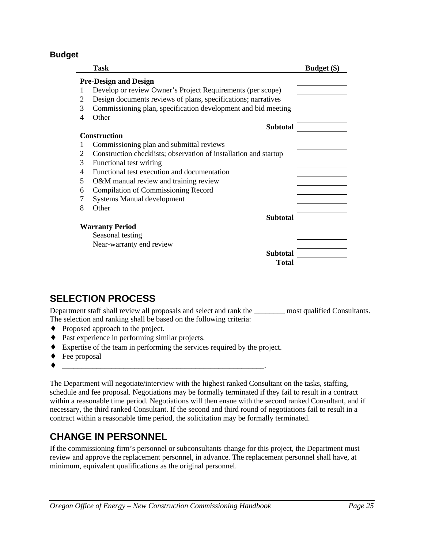#### **Budget**

|   | <b>Task</b>                                                      | <b>Budget</b> (\$) |
|---|------------------------------------------------------------------|--------------------|
|   | <b>Pre-Design and Design</b>                                     |                    |
|   | Develop or review Owner's Project Requirements (per scope)       |                    |
| 2 | Design documents reviews of plans, specifications; narratives    |                    |
| 3 | Commissioning plan, specification development and bid meeting    |                    |
| 4 | Other                                                            |                    |
|   | <b>Subtotal</b>                                                  |                    |
|   | <b>Construction</b>                                              |                    |
|   | Commissioning plan and submittal reviews                         |                    |
| 2 | Construction checklists; observation of installation and startup |                    |
| 3 | Functional test writing                                          |                    |
| 4 | Functional test execution and documentation                      |                    |
| 5 | O&M manual review and training review                            |                    |
| 6 | <b>Compilation of Commissioning Record</b>                       |                    |
|   | <b>Systems Manual development</b>                                |                    |
| 8 | Other                                                            |                    |
|   | <b>Subtotal</b>                                                  |                    |
|   | <b>Warranty Period</b>                                           |                    |
|   | Seasonal testing                                                 |                    |
|   | Near-warranty end review                                         |                    |
|   | <b>Subtotal</b>                                                  |                    |
|   | <b>Total</b>                                                     |                    |
|   |                                                                  |                    |

# **SELECTION PROCESS**

Department staff shall review all proposals and select and rank the \_\_\_\_\_\_\_\_ most qualified Consultants. The selection and ranking shall be based on the following criteria:

- Proposed approach to the project.
- ♦ Past experience in performing similar projects.
- ♦ Expertise of the team in performing the services required by the project.
- ♦ Fee proposal
- ♦ \_\_\_\_\_\_\_\_\_\_\_\_\_\_\_\_\_\_\_\_\_\_\_\_\_\_\_\_\_\_\_\_\_\_\_\_\_\_\_\_\_\_\_\_\_\_\_\_\_\_\_\_\_.

The Department will negotiate/interview with the highest ranked Consultant on the tasks, staffing, schedule and fee proposal. Negotiations may be formally terminated if they fail to result in a contract within a reasonable time period. Negotiations will then ensue with the second ranked Consultant, and if necessary, the third ranked Consultant. If the second and third round of negotiations fail to result in a contract within a reasonable time period, the solicitation may be formally terminated.

# **CHANGE IN PERSONNEL**

If the commissioning firm's personnel or subconsultants change for this project, the Department must review and approve the replacement personnel, in advance. The replacement personnel shall have, at minimum, equivalent qualifications as the original personnel.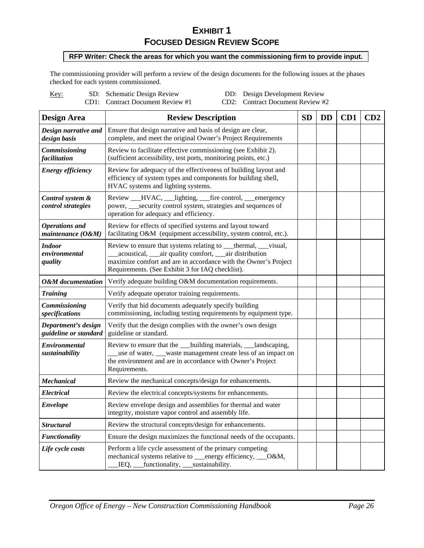# **EXHIBIT 1 FOCUSED DESIGN REVIEW SCOPE**

#### **RFP Writer: Check the areas for which you want the commissioning firm to provide input.**

The commissioning provider will perform a review of the design documents for the following issues at the phases checked for each system commissioned.

| SD: Schematic Design Review      | DD: Design Development Review    |
|----------------------------------|----------------------------------|
| CD1: Contract Document Review #1 | CD2: Contract Document Review #2 |

Key: SD: Schematic Design Review DD: Design Development Review

| <b>Design Area</b>                           | <b>Review Description</b>                                                                                                                                                                                                                          | <b>SD</b> | <b>DD</b> | CD1 | CD2 |
|----------------------------------------------|----------------------------------------------------------------------------------------------------------------------------------------------------------------------------------------------------------------------------------------------------|-----------|-----------|-----|-----|
| Design narrative and<br>design basis         | Ensure that design narrative and basis of design are clear,<br>complete, and meet the original Owner's Project Requirements                                                                                                                        |           |           |     |     |
| Commissioning<br>facilitation                | Review to facilitate effective commissioning (see Exhibit 2).<br>(sufficient accessibility, test ports, monitoring points, etc.)                                                                                                                   |           |           |     |     |
| <b>Energy efficiency</b>                     | Review for adequacy of the effectiveness of building layout and<br>efficiency of system types and components for building shell,<br>HVAC systems and lighting systems.                                                                             |           |           |     |     |
| Control system &<br>control strategies       | Review __HVAC, __lighting, __fire control, __emergency<br>power, __security control system, strategies and sequences of<br>operation for adequacy and efficiency.                                                                                  |           |           |     |     |
| <b>Operations</b> and<br>maintenance $(O&M)$ | Review for effects of specified systems and layout toward<br>facilitating O&M (equipment accessibility, system control, etc.).                                                                                                                     |           |           |     |     |
| <b>Indoor</b><br>environmental<br>quality    | Review to ensure that systems relating to __thermal, __visual,<br>acoustical, ___ air quality comfort, ___ air distribution<br>maximize comfort and are in accordance with the Owner's Project<br>Requirements. (See Exhibit 3 for IAQ checklist). |           |           |     |     |
| <b>O&amp;M</b> documentation                 | Verify adequate building O&M documentation requirements.                                                                                                                                                                                           |           |           |     |     |
| <b>Training</b>                              | Verify adequate operator training requirements.                                                                                                                                                                                                    |           |           |     |     |
| Commissioning<br>specifications              | Verify that bid documents adequately specify building<br>commissioning, including testing requirements by equipment type.                                                                                                                          |           |           |     |     |
| Department's design<br>guideline or standard | Verify that the design complies with the owner's own design<br>guideline or standard.                                                                                                                                                              |           |           |     |     |
| Environmental<br>sustainability              | Review to ensure that the ___building materials, ___landscaping,<br>use of water, ___waste management create less of an impact on<br>the environment and are in accordance with Owner's Project<br>Requirements.                                   |           |           |     |     |
| <b>Mechanical</b>                            | Review the mechanical concepts/design for enhancements.                                                                                                                                                                                            |           |           |     |     |
| <b>Electrical</b>                            | Review the electrical concepts/systems for enhancements.                                                                                                                                                                                           |           |           |     |     |
| <b>Envelope</b>                              | Review envelope design and assemblies for thermal and water<br>integrity, moisture vapor control and assembly life.                                                                                                                                |           |           |     |     |
| <b>Structural</b>                            | Review the structural concepts/design for enhancements.                                                                                                                                                                                            |           |           |     |     |
| <b>Functionality</b>                         | Ensure the design maximizes the functional needs of the occupants.                                                                                                                                                                                 |           |           |     |     |
| Life cycle costs                             | Perform a life cycle assessment of the primary competing<br>mechanical systems relative to __energy efficiency, __O&M,<br>IEQ, __functionality, __sustainability.                                                                                  |           |           |     |     |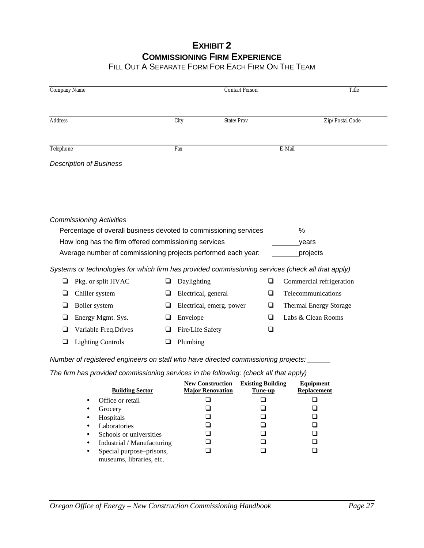## **EXHIBIT 2 COMMISSIONING FIRM EXPERIENCE** FILL OUT A SEPARATE FORM FOR EACH FIRM ON THE TEAM

| Company Name<br><b>Contact Person</b>                                                                                                                                                                                                                                                                                             |                                |   | Title                    |   |                               |
|-----------------------------------------------------------------------------------------------------------------------------------------------------------------------------------------------------------------------------------------------------------------------------------------------------------------------------------|--------------------------------|---|--------------------------|---|-------------------------------|
| <b>Address</b>                                                                                                                                                                                                                                                                                                                    |                                |   | City<br>State/Prov       |   | Zip/Postal Code               |
| Telephone                                                                                                                                                                                                                                                                                                                         |                                |   | Fax                      |   | E-Mail                        |
|                                                                                                                                                                                                                                                                                                                                   | <b>Description of Business</b> |   |                          |   |                               |
|                                                                                                                                                                                                                                                                                                                                   |                                |   |                          |   |                               |
|                                                                                                                                                                                                                                                                                                                                   |                                |   |                          |   |                               |
|                                                                                                                                                                                                                                                                                                                                   |                                |   |                          |   |                               |
|                                                                                                                                                                                                                                                                                                                                   |                                |   |                          |   | %                             |
|                                                                                                                                                                                                                                                                                                                                   |                                |   |                          |   | years                         |
|                                                                                                                                                                                                                                                                                                                                   |                                |   |                          |   | projects                      |
|                                                                                                                                                                                                                                                                                                                                   |                                |   |                          |   |                               |
| ⊔                                                                                                                                                                                                                                                                                                                                 | Pkg. or split HVAC             | ⊔ | Daylighting              | ❏ | Commercial refrigeration      |
| ⊔                                                                                                                                                                                                                                                                                                                                 | Chiller system                 | ❏ | Electrical, general      | □ | Telecommunications            |
| ❏                                                                                                                                                                                                                                                                                                                                 | Boiler system                  | ❏ | Electrical, emerg. power | ❏ | <b>Thermal Energy Storage</b> |
| ❏                                                                                                                                                                                                                                                                                                                                 | Energy Mgmt. Sys.              | ❏ | Envelope                 | □ | Labs & Clean Rooms            |
|                                                                                                                                                                                                                                                                                                                                   | Variable Freq. Drives          | ❏ | Fire/Life Safety         | ❏ |                               |
| ◻                                                                                                                                                                                                                                                                                                                                 | <b>Lighting Controls</b>       | ❏ | Plumbing                 |   |                               |
| <b>Commissioning Activities</b><br>Percentage of overall business devoted to commissioning services<br>How long has the firm offered commissioning services<br>Average number of commissioning projects performed each year:<br>Systems or technologies for which firm has provided commissioning services (check all that apply) |                                |   |                          |   |                               |

*Number of registered engineers on staff who have directed commissioning projects: \_\_\_\_\_\_*

*The firm has provided commissioning services in the following: (check all that apply)*

|           | <b>Building Sector</b>     | <b>New Construction</b><br><b>Major Renovation</b> | <b>Existing Building</b><br>Tune-up | Equipment<br><b>Replacement</b> |
|-----------|----------------------------|----------------------------------------------------|-------------------------------------|---------------------------------|
|           | Office or retail           |                                                    |                                     |                                 |
| ٠         | Grocery                    |                                                    |                                     |                                 |
|           | Hospitals                  |                                                    |                                     |                                 |
|           | Laboratories               |                                                    |                                     |                                 |
| $\bullet$ | Schools or universities    |                                                    |                                     |                                 |
| ٠         | Industrial / Manufacturing |                                                    |                                     |                                 |
| ٠         | Special purpose-prisons,   |                                                    |                                     |                                 |
|           | museums, libraries, etc.   |                                                    |                                     |                                 |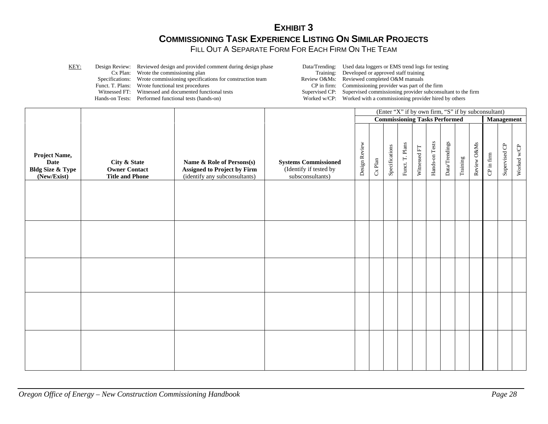**EXHIBIT 3 COMMISSIONING TASK EXPERIENCE LISTING ON SIMILAR PROJECTS**

FILL OUT A SEPARATE FORM FOR EACH FIRM ON THE TEAM

| KEY: | Design Review: Reviewed design and provided comment during design phase  | Data/Trending: Used data loggers or EMS trend logs for testing             |
|------|--------------------------------------------------------------------------|----------------------------------------------------------------------------|
|      | Cx Plan: Wrote the commissioning plan                                    | Training: Developed or approved staff training                             |
|      | Specifications: Wrote commissioning specifications for construction team | Review O&Ms: Reviewed completed O&M manuals                                |
|      | Funct. T. Plans: Wrote functional test procedures                        | CP in firm: Commissioning provider was part of the firm                    |
|      | Witnessed FT: Witnessed and documented functional tests                  | Supervised CP: Supervised commissioning provider subconsultant to the firm |
|      | Hands-on Tests: Performed functional tests (hands-on)                    | Worked w/CP: Worked with a commissioning provider hired by others          |
|      |                                                                          |                                                                            |

|                                                                     |                                                                |                                                                                                  |                                                                           | (Enter "X" if by own firm, "S" if by subconsultant) |                                      |                |                 |                   |                |                |          |             |                    |               |             |
|---------------------------------------------------------------------|----------------------------------------------------------------|--------------------------------------------------------------------------------------------------|---------------------------------------------------------------------------|-----------------------------------------------------|--------------------------------------|----------------|-----------------|-------------------|----------------|----------------|----------|-------------|--------------------|---------------|-------------|
|                                                                     |                                                                |                                                                                                  |                                                                           |                                                     | <b>Commissioning Tasks Performed</b> |                |                 | <b>Management</b> |                |                |          |             |                    |               |             |
| Project Name,<br>Date<br><b>Bldg Size &amp; Type</b><br>(New/Exist) | City & State<br><b>Owner Contact</b><br><b>Title and Phone</b> | Name & Role of Persons(s)<br><b>Assigned to Project by Firm</b><br>(identify any subconsultants) | <b>Systems Commissioned</b><br>(Identify if tested by<br>subsconsultants) | Design Review                                       | $Cx$ Plan                            | Specifications | Funct. T. Plans | Witnessed FT      | Hands-on Tests | Data/Trendings | Training | Review O&Ms | ${\bf CP}$ in firm | Supervised CP | Worked w/CP |
|                                                                     |                                                                |                                                                                                  |                                                                           |                                                     |                                      |                |                 |                   |                |                |          |             |                    |               |             |
|                                                                     |                                                                |                                                                                                  |                                                                           |                                                     |                                      |                |                 |                   |                |                |          |             |                    |               |             |
|                                                                     |                                                                |                                                                                                  |                                                                           |                                                     |                                      |                |                 |                   |                |                |          |             |                    |               |             |
|                                                                     |                                                                |                                                                                                  |                                                                           |                                                     |                                      |                |                 |                   |                |                |          |             |                    |               |             |
|                                                                     |                                                                |                                                                                                  |                                                                           |                                                     |                                      |                |                 |                   |                |                |          |             |                    |               |             |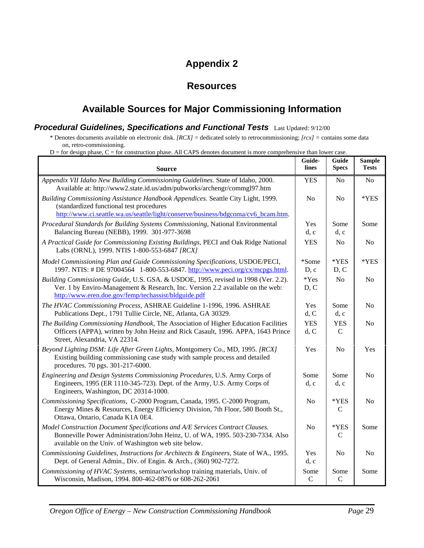# **Appendix 2**

## **Resources**

# **Available Sources for Major Commissioning Information**

### *Procedural Guidelines, Specifications and Functional Tests* Last Updated: 9/12/00

\* Denotes documents available on electronic disk. *[RCX]* = dedicated solely to retrocommissioning; *[rcx] =* contains some data on, retro-commissioning.

D = for design phase, C = for construction phase. All CAPS denotes document is more comprehensive than lower case.

| <b>Source</b>                                                                                                                                                                                                                | Guide-<br>lines     | Guide<br><b>Specs</b>      | <b>Sample</b><br><b>Tests</b> |
|------------------------------------------------------------------------------------------------------------------------------------------------------------------------------------------------------------------------------|---------------------|----------------------------|-------------------------------|
| Appendix VII Idaho New Building Commissioning Guidelines. State of Idaho, 2000.<br>Available at: http://www2.state.id.us/adm/pubworks/archengr/commgl97.htm                                                                  | <b>YES</b>          | N <sub>o</sub>             | N <sub>o</sub>                |
| Building Commissioning Assistance Handbook Appendices. Seattle City Light, 1999.<br>(standardized functional test procedures<br>http://www.ci.seattle.wa.us/seattle/light/conserve/business/bdgcoma/cv6_bcam.htm.            | N <sub>0</sub>      | N <sub>o</sub>             | $*YES$                        |
| Procedural Standards for Building Systems Commissioning, National Environmental<br>Balancing Bureau (NEBB), 1999. 301-977-3698                                                                                               | Yes<br>d, c         | Some<br>d, c               | Some                          |
| A Practical Guide for Commissioning Existing Buildings, PECI and Oak Ridge National<br>Labs (ORNL), 1999. NTIS 1-800-553-6847 [RCX]                                                                                          | <b>YES</b>          | N <sub>o</sub>             | N <sub>o</sub>                |
| Model Commissioning Plan and Guide Commissioning Specifications, USDOE/PECI,<br>1997. NTIS: # DE 97004564 1-800-553-6847. http://www.peci.org/cx/mcpgs.html.                                                                 | *Some<br>D, c       | *YES<br>D, C               | $*YES$                        |
| Building Commissioning Guide, U.S. GSA. & USDOE, 1995, revised in 1998 (Ver. 2.2).<br>Ver. 1 by Enviro-Management & Research, Inc. Version 2.2 available on the web:<br>http://www.eren.doe.gov/femp/techassist/bldguide.pdf | *Yes<br>D, C        | N <sub>o</sub>             | N <sub>o</sub>                |
| The HVAC Commissioning Process, ASHRAE Guideline 1-1996, 1996. ASHRAE<br>Publications Dept., 1791 Tullie Circle, NE, Atlanta, GA 30329.                                                                                      | Yes<br>d, C         | Some<br>d, c               | N <sub>0</sub>                |
| The Building Commissioning Handbook, The Association of Higher Education Facilities<br>Officers (APPA), written by John Heinz and Rick Casault, 1996. APPA, 1643 Prince<br>Street, Alexandria, VA 22314.                     | <b>YES</b><br>d, C  | <b>YES</b><br>$\mathsf{C}$ | N <sub>o</sub>                |
| Beyond Lighting DSM: Life After Green Lights, Montgomery Co., MD, 1995. [RCX]<br>Existing building commissioning case study with sample process and detailed<br>procedures. 70 pgs. 301-217-6000.                            | Yes                 | N <sub>o</sub>             | Yes                           |
| Engineering and Design Systems Commissioning Procedures, U.S. Army Corps of<br>Engineers, 1995 (ER 1110-345-723). Dept. of the Army, U.S. Army Corps of<br>Engineers, Washington, DC 20314-1000.                             | Some<br>d, c        | Some<br>d, c               | N <sub>o</sub>                |
| Commissioning Specifications, C-2000 Program, Canada, 1995. C-2000 Program,<br>Energy Mines & Resources, Energy Efficiency Division, 7th Floor, 580 Booth St.,<br>Ottawa, Ontario, Canada K1A 0E4.                           | N <sub>o</sub>      | $*YES$<br>$\mathsf{C}$     | N <sub>o</sub>                |
| Model Construction Document Specifications and A/E Services Contract Clauses.<br>Bonneville Power Administration/John Heinz, U. of WA, 1995. 503-230-7334. Also<br>available on the Univ. of Washington web site below.      | N <sub>o</sub>      | *YES<br>$\mathcal{C}$      | Some                          |
| Commissioning Guidelines, Instructions for Architects & Engineers, State of WA., 1995.<br>Dept. of General Admin., Div. of Engin. & Arch., (360) 902-7272.                                                                   | Yes<br>d, c         | N <sub>o</sub>             | No                            |
| Commissioning of HVAC Systems, seminar/workshop training materials, Univ. of<br>Wisconsin, Madison, 1994. 800-462-0876 or 608-262-2061                                                                                       | Some<br>$\mathbf C$ | Some<br>$\mathcal{C}$      | Some                          |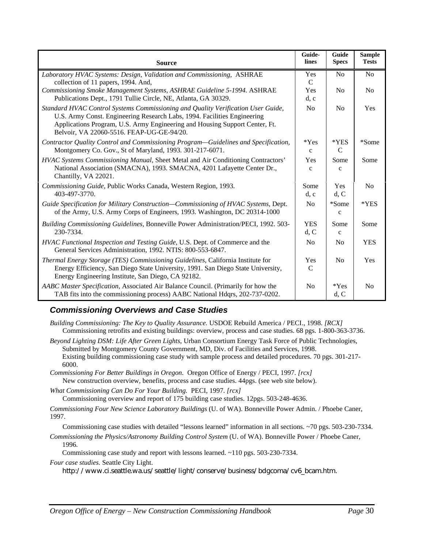| <b>Source</b>                                                                                                                                                                                                                                                                            | Guide-<br>lines        | Guide<br><b>Specs</b> | <b>Sample</b><br><b>Tests</b> |
|------------------------------------------------------------------------------------------------------------------------------------------------------------------------------------------------------------------------------------------------------------------------------------------|------------------------|-----------------------|-------------------------------|
| Laboratory HVAC Systems: Design, Validation and Commissioning, ASHRAE<br>collection of 11 papers, 1994. And,                                                                                                                                                                             | Yes<br>$\mathcal{C}$   | N <sub>0</sub>        | No                            |
| Commissioning Smoke Management Systems, ASHRAE Guideline 5-1994. ASHRAE<br>Publications Dept., 1791 Tullie Circle, NE, Atlanta, GA 30329.                                                                                                                                                | Yes<br>d, c            | N <sub>0</sub>        | No                            |
| Standard HVAC Control Systems Commissioning and Quality Verification User Guide,<br>U.S. Army Const. Engineering Research Labs, 1994. Facilities Engineering<br>Applications Program, U.S. Army Engineering and Housing Support Center, Ft.<br>Belvoir, VA 22060-5516. FEAP-UG-GE-94/20. | N <sub>0</sub>         | N <sub>0</sub>        | Yes                           |
| Contractor Quality Control and Commissioning Program-Guidelines and Specification,<br>Montgomery Co. Gov., St of Maryland, 1993. 301-217-6071.                                                                                                                                           | $*Yes$<br>$\mathbf{C}$ | *YES<br>C             | *Some                         |
| HVAC Systems Commissioning Manual, Sheet Metal and Air Conditioning Contractors'<br>National Association (SMACNA), 1993. SMACNA, 4201 Lafayette Center Dr.,<br>Chantilly, VA 22021.                                                                                                      | Yes<br>$\mathbf c$     | Some<br>$\mathbf{C}$  | Some                          |
| Commissioning Guide, Public Works Canada, Western Region, 1993.<br>403-497-3770.                                                                                                                                                                                                         | Some<br>d, c           | Yes<br>d, C           | N <sub>0</sub>                |
| Guide Specification for Military Construction-Commissioning of HVAC Systems, Dept.<br>of the Army, U.S. Army Corps of Engineers, 1993. Washington, DC 20314-1000                                                                                                                         | N <sub>0</sub>         | *Some<br>$\mathbf{C}$ | $*YES$                        |
| Building Commissioning Guidelines, Bonneville Power Administration/PECI, 1992. 503-<br>230-7334.                                                                                                                                                                                         | <b>YES</b><br>d, C     | Some<br>$\mathbf{C}$  | Some                          |
| HVAC Functional Inspection and Testing Guide, U.S. Dept. of Commerce and the<br>General Services Administration, 1992. NTIS: 800-553-6847.                                                                                                                                               | N <sub>o</sub>         | N <sub>0</sub>        | <b>YES</b>                    |
| Thermal Energy Storage (TES) Commissioning Guidelines, California Institute for<br>Energy Efficiency, San Diego State University, 1991. San Diego State University,<br>Energy Engineering Institute, San Diego, CA 92182.                                                                | Yes<br>$\mathcal{C}$   | N <sub>0</sub>        | Yes                           |
| AABC Master Specification, Associated Air Balance Council. (Primarily for how the<br>TAB fits into the commissioning process) AABC National Hdqrs, 202-737-0202.                                                                                                                         | N <sub>o</sub>         | $*{\rm Yes}$<br>d, C  | N <sub>0</sub>                |

## *Commissioning Overviews and Case Studies*

*Building Commissioning: The Key to Quality Assurance.* USDOE Rebuild America / PECI., 1998. *[RCX]* Commissioning retrofits and existing buildings: overview, process and case studies. 68 pgs. 1-800-363-3736.

*Beyond Lighting DSM: Life After Green Lights,* Urban Consortium Energy Task Force of Public Technologies, Submitted by Montgomery County Government, MD, Div. of Facilities and Services, 1998. Existing building commissioning case study with sample process and detailed procedures. 70 pgs. 301-217- 6000.

*Commissioning For Better Buildings in Oregon.* Oregon Office of Energy / PECI, 1997. *[rcx]* New construction overview, benefits, process and case studies. 44pgs. (see web site below).

*What Commissioning Can Do For Your Building.* PECI, 1997. *[rcx]*

Commissioning overview and report of 175 building case studies. 12pgs. 503-248-4636.

*Commissioning Four New Science Laboratory Buildings* (U. of WA). Bonneville Power Admin. / Phoebe Caner, 1997.

Commissioning case studies with detailed "lessons learned" information in all sections. ~70 pgs. 503-230-7334.

*Commissioning the Physics/Astronomy Building Control System* (U. of WA). Bonneville Power / Phoebe Caner, 1996*.*

Commissioning case study and report with lessons learned. ~110 pgs. 503-230-7334.

*Four case studies.* Seattle City Light.

http://www.ci.seattle.wa.us/seattle/light/conserve/business/bdgcoma/cv6\_bcam.htm.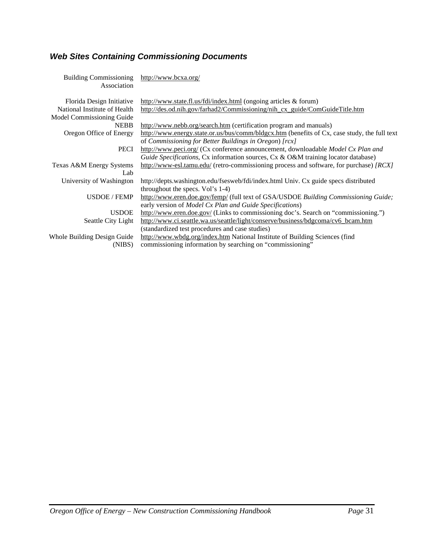# *Web Sites Containing Commissioning Documents*

| <b>Building Commissioning</b><br>Association | http://www.bcxa.org/                                                                         |
|----------------------------------------------|----------------------------------------------------------------------------------------------|
| Florida Design Initiative                    | http://www.state.fl.us/fdi/index.html (ongoing articles & forum)                             |
| National Institute of Health                 | http://des.od.nih.gov/farhad2/Commissioning/nih_cx_guide/ComGuideTitle.htm                   |
| Model Commissioning Guide                    |                                                                                              |
| <b>NEBB</b>                                  | http://www.nebb.org/search.htm (certification program and manuals)                           |
| Oregon Office of Energy                      | http://www.energy.state.or.us/bus/comm/bldgcx.htm (benefits of Cx, case study, the full text |
|                                              | of Commissioning for Better Buildings in Oregon) [rcx]                                       |
| PECI                                         | http://www.peci.org/ (Cx conference announcement, downloadable Model Cx Plan and             |
|                                              | Guide Specifications, Cx information sources, Cx & O&M training locator database)            |
| Texas A&M Energy Systems                     | http://www-esl.tamu.edu/ (retro-commissioning process and software, for purchase) [RCX]      |
| Lab                                          |                                                                                              |
| University of Washington                     | http://depts.washington.edu/fsesweb/fdi/index.html Univ. Cx guide specs distributed          |
|                                              | throughout the specs. Vol's 1-4)                                                             |
| <b>USDOE / FEMP</b>                          | http://www.eren.doe.gov/femp/ (full text of GSA/USDOE Building Commissioning Guide;          |
|                                              | early version of Model Cx Plan and Guide Specifications)                                     |
| <b>USDOE</b>                                 | http://www.eren.doe.gov/ (Links to commissioning doc's. Search on "commissioning.")          |
| Seattle City Light                           | http://www.ci.seattle.wa.us/seattle/light/conserve/business/bdgcoma/cv6_bcam.htm             |
|                                              | (standardized test procedures and case studies)                                              |
| Whole Building Design Guide                  | http://www.wbdg.org/index.htm National Institute of Building Sciences (find                  |
| (NIBS)                                       | commissioning information by searching on "commissioning"                                    |
|                                              |                                                                                              |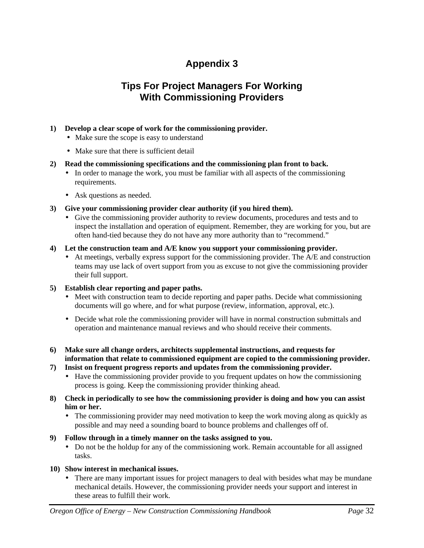# **Appendix 3**

# **Tips For Project Managers For Working With Commissioning Providers**

#### **1) Develop a clear scope of work for the commissioning provider.**

- Make sure the scope is easy to understand
- Make sure that there is sufficient detail
- **2) Read the commissioning specifications and the commissioning plan front to back.**
	- In order to manage the work, you must be familiar with all aspects of the commissioning requirements.
	- Ask questions as needed.
- **3) Give your commissioning provider clear authority (if you hired them).**
	- Give the commissioning provider authority to review documents, procedures and tests and to inspect the installation and operation of equipment. Remember, they are working for you, but are often hand-tied because they do not have any more authority than to "recommend."
- **4) Let the construction team and A/E know you support your commissioning provider.**
	- At meetings, verbally express support for the commissioning provider. The A/E and construction teams may use lack of overt support from you as excuse to not give the commissioning provider their full support.
- **5) Establish clear reporting and paper paths.**
	- Meet with construction team to decide reporting and paper paths. Decide what commissioning documents will go where, and for what purpose (review, information, approval, etc.).
	- Decide what role the commissioning provider will have in normal construction submittals and operation and maintenance manual reviews and who should receive their comments.
- **6) Make sure all change orders, architects supplemental instructions, and requests for information that relate to commissioned equipment are copied to the commissioning provider.**
- **7) Insist on frequent progress reports and updates from the commissioning provider.**
	- Have the commissioning provider provide to you frequent updates on how the commissioning process is going. Keep the commissioning provider thinking ahead.
- **8) Check in periodically to see how the commissioning provider is doing and how you can assist him or her.**
	- The commissioning provider may need motivation to keep the work moving along as quickly as possible and may need a sounding board to bounce problems and challenges off of.
- **9) Follow through in a timely manner on the tasks assigned to you.**
	- Do not be the holdup for any of the commissioning work. Remain accountable for all assigned tasks.
- **10) Show interest in mechanical issues.**
	- There are many important issues for project managers to deal with besides what may be mundane mechanical details. However, the commissioning provider needs your support and interest in these areas to fulfill their work.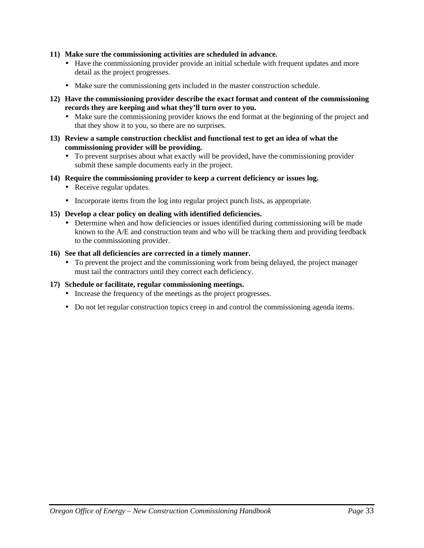- **11) Make sure the commissioning activities are scheduled in advance.**
	- Have the commissioning provider provide an initial schedule with frequent updates and more detail as the project progresses.
	- Make sure the commissioning gets included in the master construction schedule.
- **12) Have the commissioning provider describe the exact format and content of the commissioning records they are keeping and what they'll turn over to you.**
	- Make sure the commissioning provider knows the end format at the beginning of the project and that they show it to you, so there are no surprises.
- **13) Review a sample construction checklist and functional test to get an idea of what the commissioning provider will be providing.**
	- To prevent surprises about what exactly will be provided, have the commissioning provider submit these sample documents early in the project.
- **14) Require the commissioning provider to keep a current deficiency or issues log.**
	- Receive regular updates.
	- Incorporate items from the log into regular project punch lists, as appropriate.
- **15) Develop a clear policy on dealing with identified deficiencies.**
	- Determine when and how deficiencies or issues identified during commissioning will be made known to the A/E and construction team and who will be tracking them and providing feedback to the commissioning provider.
- **16) See that all deficiencies are corrected in a timely manner.**
	- To prevent the project and the commissioning work from being delayed, the project manager must tail the contractors until they correct each deficiency.

#### **17) Schedule or facilitate, regular commissioning meetings.**

- Increase the frequency of the meetings as the project progresses.
- Do not let regular construction topics creep in and control the commissioning agenda items.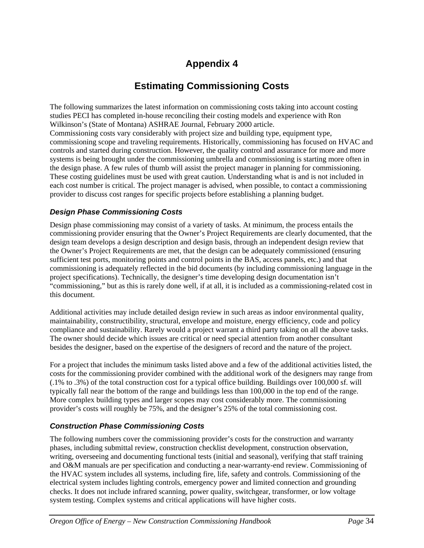# **Appendix 4**

# **Estimating Commissioning Costs**

The following summarizes the latest information on commissioning costs taking into account costing studies PECI has completed in-house reconciling their costing models and experience with Ron Wilkinson's (State of Montana) ASHRAE Journal, February 2000 article. Commissioning costs vary considerably with project size and building type, equipment type, commissioning scope and traveling requirements. Historically, commissioning has focused on HVAC and controls and started during construction. However, the quality control and assurance for more and more systems is being brought under the commissioning umbrella and commissioning is starting more often in the design phase. A few rules of thumb will assist the project manager in planning for commissioning. These costing guidelines must be used with great caution. Understanding what is and is not included in each cost number is critical. The project manager is advised, when possible, to contact a commissioning provider to discuss cost ranges for specific projects before establishing a planning budget.

## *Design Phase Commissioning Costs*

Design phase commissioning may consist of a variety of tasks. At minimum, the process entails the commissioning provider ensuring that the Owner's Project Requirements are clearly documented, that the design team develops a design description and design basis, through an independent design review that the Owner's Project Requirements are met, that the design can be adequately commissioned (ensuring sufficient test ports, monitoring points and control points in the BAS, access panels, etc.) and that commissioning is adequately reflected in the bid documents (by including commissioning language in the project specifications). Technically, the designer's time developing design documentation isn't "commissioning," but as this is rarely done well, if at all, it is included as a commissioning-related cost in this document.

Additional activities may include detailed design review in such areas as indoor environmental quality, maintainability, constructibility, structural, envelope and moisture, energy efficiency, code and policy compliance and sustainability. Rarely would a project warrant a third party taking on all the above tasks. The owner should decide which issues are critical or need special attention from another consultant besides the designer, based on the expertise of the designers of record and the nature of the project.

For a project that includes the minimum tasks listed above and a few of the additional activities listed, the costs for the commissioning provider combined with the additional work of the designers may range from (.1% to .3%) of the total construction cost for a typical office building. Buildings over 100,000 sf. will typically fall near the bottom of the range and buildings less than 100,000 in the top end of the range. More complex building types and larger scopes may cost considerably more. The commissioning provider's costs will roughly be 75%, and the designer's 25% of the total commissioning cost.

#### *Construction Phase Commissioning Costs*

The following numbers cover the commissioning provider's costs for the construction and warranty phases, including submittal review, construction checklist development, construction observation, writing, overseeing and documenting functional tests (initial and seasonal), verifying that staff training and O&M manuals are per specification and conducting a near-warranty-end review. Commissioning of the HVAC system includes all systems, including fire, life, safety and controls. Commissioning of the electrical system includes lighting controls, emergency power and limited connection and grounding checks. It does not include infrared scanning, power quality, switchgear, transformer, or low voltage system testing. Complex systems and critical applications will have higher costs.